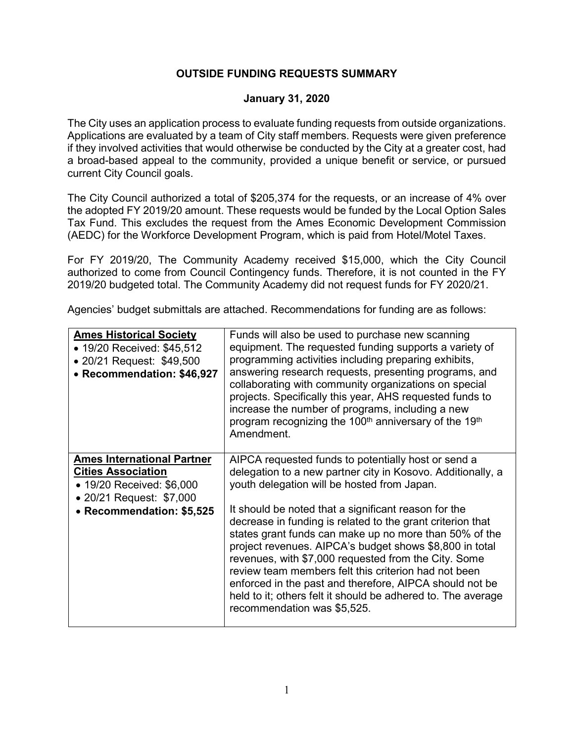### **OUTSIDE FUNDING REQUESTS SUMMARY**

### **January 31, 2020**

The City uses an application process to evaluate funding requests from outside organizations. Applications are evaluated by a team of City staff members. Requests were given preference if they involved activities that would otherwise be conducted by the City at a greater cost, had a broad-based appeal to the community, provided a unique benefit or service, or pursued current City Council goals.

The City Council authorized a total of \$205,374 for the requests, or an increase of 4% over the adopted FY 2019/20 amount. These requests would be funded by the Local Option Sales Tax Fund. This excludes the request from the Ames Economic Development Commission (AEDC) for the Workforce Development Program, which is paid from Hotel/Motel Taxes.

For FY 2019/20, The Community Academy received \$15,000, which the City Council authorized to come from Council Contingency funds. Therefore, it is not counted in the FY 2019/20 budgeted total. The Community Academy did not request funds for FY 2020/21.

Agencies' budget submittals are attached. Recommendations for funding are as follows:

| <b>Ames Historical Society</b><br>• 19/20 Received: \$45,512<br>• 20/21 Request: \$49,500<br>• Recommendation: \$46,927                              | Funds will also be used to purchase new scanning<br>equipment. The requested funding supports a variety of<br>programming activities including preparing exhibits,<br>answering research requests, presenting programs, and<br>collaborating with community organizations on special<br>projects. Specifically this year, AHS requested funds to<br>increase the number of programs, including a new<br>program recognizing the 100 <sup>th</sup> anniversary of the 19 <sup>th</sup><br>Amendment.                                                                                                                                                                                    |
|------------------------------------------------------------------------------------------------------------------------------------------------------|----------------------------------------------------------------------------------------------------------------------------------------------------------------------------------------------------------------------------------------------------------------------------------------------------------------------------------------------------------------------------------------------------------------------------------------------------------------------------------------------------------------------------------------------------------------------------------------------------------------------------------------------------------------------------------------|
| <b>Ames International Partner</b><br><b>Cities Association</b><br>• 19/20 Received: \$6,000<br>• 20/21 Request: \$7,000<br>• Recommendation: \$5,525 | AIPCA requested funds to potentially host or send a<br>delegation to a new partner city in Kosovo. Additionally, a<br>youth delegation will be hosted from Japan.<br>It should be noted that a significant reason for the<br>decrease in funding is related to the grant criterion that<br>states grant funds can make up no more than 50% of the<br>project revenues. AIPCA's budget shows \$8,800 in total<br>revenues, with \$7,000 requested from the City. Some<br>review team members felt this criterion had not been<br>enforced in the past and therefore, AIPCA should not be<br>held to it; others felt it should be adhered to. The average<br>recommendation was \$5,525. |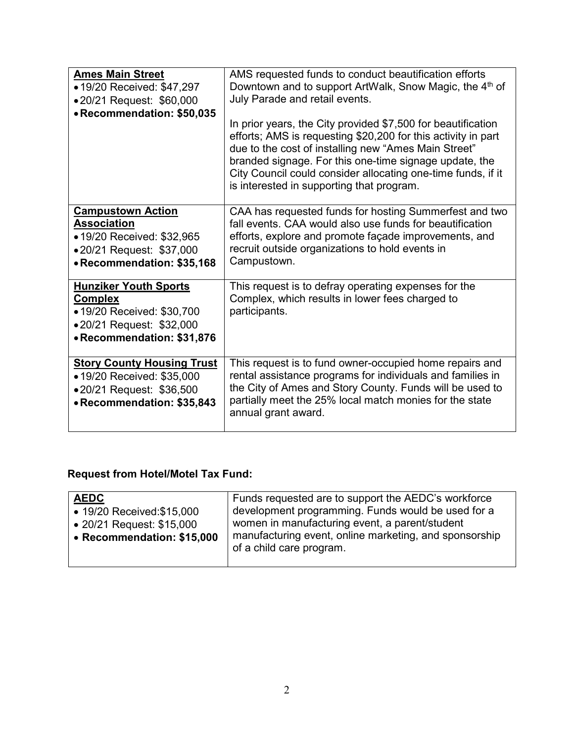| <b>Ames Main Street</b><br>• 19/20 Received: \$47,297<br>•20/21 Request: \$60,000<br>• Recommendation: \$50,035                        | AMS requested funds to conduct beautification efforts<br>Downtown and to support ArtWalk, Snow Magic, the 4 <sup>th</sup> of<br>July Parade and retail events.<br>In prior years, the City provided \$7,500 for beautification<br>efforts; AMS is requesting \$20,200 for this activity in part<br>due to the cost of installing new "Ames Main Street"<br>branded signage. For this one-time signage update, the<br>City Council could consider allocating one-time funds, if it<br>is interested in supporting that program. |
|----------------------------------------------------------------------------------------------------------------------------------------|--------------------------------------------------------------------------------------------------------------------------------------------------------------------------------------------------------------------------------------------------------------------------------------------------------------------------------------------------------------------------------------------------------------------------------------------------------------------------------------------------------------------------------|
| <b>Campustown Action</b><br><b>Association</b><br>• 19/20 Received: \$32,965<br>•20/21 Request: \$37,000<br>• Recommendation: \$35,168 | CAA has requested funds for hosting Summerfest and two<br>fall events. CAA would also use funds for beautification<br>efforts, explore and promote façade improvements, and<br>recruit outside organizations to hold events in<br>Campustown.                                                                                                                                                                                                                                                                                  |
| <b>Hunziker Youth Sports</b><br><b>Complex</b><br>• 19/20 Received: \$30,700<br>•20/21 Request: \$32,000<br>• Recommendation: \$31,876 | This request is to defray operating expenses for the<br>Complex, which results in lower fees charged to<br>participants.                                                                                                                                                                                                                                                                                                                                                                                                       |
| <b>Story County Housing Trust</b><br>• 19/20 Received: \$35,000<br>•20/21 Request: \$36,500<br>• Recommendation: \$35,843              | This request is to fund owner-occupied home repairs and<br>rental assistance programs for individuals and families in<br>the City of Ames and Story County. Funds will be used to<br>partially meet the 25% local match monies for the state<br>annual grant award.                                                                                                                                                                                                                                                            |

## **Request from Hotel/Motel Tax Fund:**

| <b>AEDC</b>                | Funds requested are to support the AEDC's workforce    |
|----------------------------|--------------------------------------------------------|
| • 19/20 Received: \$15,000 | development programming. Funds would be used for a     |
| • 20/21 Request: \$15,000  | women in manufacturing event, a parent/student         |
| • Recommendation: \$15,000 | manufacturing event, online marketing, and sponsorship |
|                            | of a child care program.                               |
|                            |                                                        |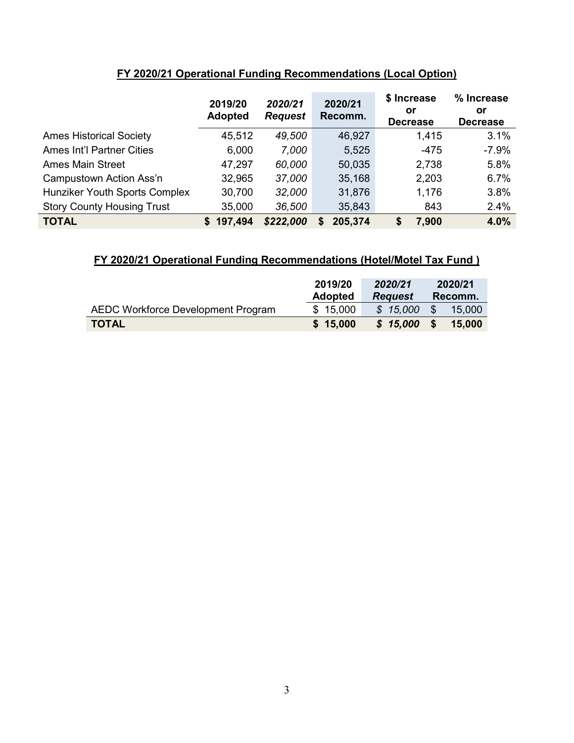|                                   | 2019/20<br><b>Adopted</b> | 2020/21<br><b>Request</b> | 2020/21<br>Recomm. | \$ Increase<br>or | % Increase<br>or |
|-----------------------------------|---------------------------|---------------------------|--------------------|-------------------|------------------|
|                                   |                           |                           |                    | <b>Decrease</b>   | <b>Decrease</b>  |
| <b>Ames Historical Society</b>    | 45,512                    | 49,500                    | 46,927             | 1,415             | 3.1%             |
| <b>Ames Int'l Partner Cities</b>  | 6,000                     | 7,000                     | 5,525              | -475              | $-7.9%$          |
| <b>Ames Main Street</b>           | 47,297                    | 60,000                    | 50,035             | 2,738             | 5.8%             |
| Campustown Action Ass'n           | 32,965                    | 37,000                    | 35,168             | 2,203             | 6.7%             |
| Hunziker Youth Sports Complex     | 30,700                    | 32,000                    | 31,876             | 1,176             | 3.8%             |
| <b>Story County Housing Trust</b> | 35,000                    | 36,500                    | 35,843             | 843               | 2.4%             |
| <b>TOTAL</b>                      | 197,494<br>S.             | \$222,000                 | 205,374<br>S       | \$<br>7,900       | 4.0%             |

## **FY 2020/21 Operational Funding Recommendations (Local Option)**

## **FY 2020/21 Operational Funding Recommendations (Hotel/Motel Tax Fund )**

|                                    | 2019/20<br><b>Adopted</b> | 2020/21<br><b>Request</b> | 2020/21<br>Recomm. |  |
|------------------------------------|---------------------------|---------------------------|--------------------|--|
| AEDC Workforce Development Program | \$15,000                  | \$15,000                  | -SS<br>15.000      |  |
| <b>TOTAL</b>                       | \$15,000                  | \$15,000                  | 15.000<br>- \$     |  |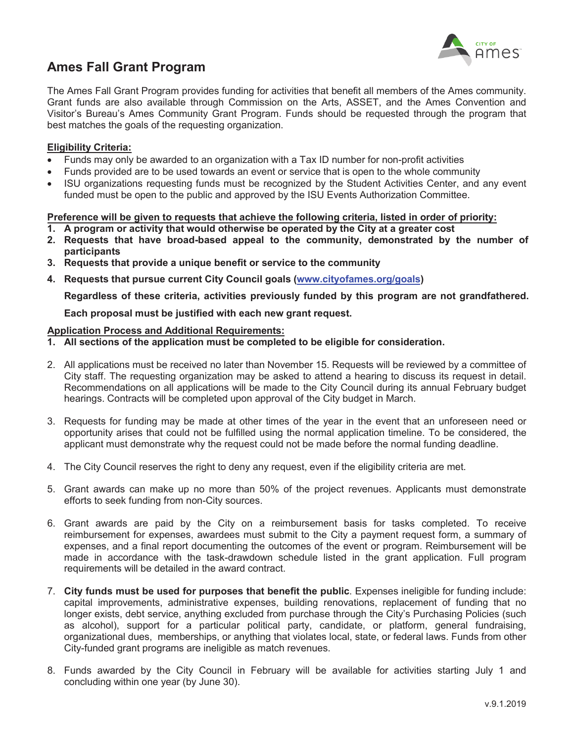

## **Ames Fall Grant Program**

The Ames Fall Grant Program provides funding for activities that benefit all members of the Ames community. Grant funds are also available through Commission on the Arts, ASSET, and the Ames Convention and Visitor's Bureau's Ames Community Grant Program. Funds should be requested through the program that best matches the goals of the requesting organization.

#### **Eligibility Criteria:**

- ' Funds may only be awarded to an organization with a Tax ID number for non-profit activities
- ' Funds provided are to be used towards an event or service that is open to the whole community
- ' ISU organizations requesting funds must be recognized by the Student Activities Center, and any event funded must be open to the public and approved by the ISU Events Authorization Committee.

#### Preference will be given to requests that achieve the following criteria, listed in order of priority:

- 30 **A program or activity that would otherwise be operated by the City at a greater cost**
- 40 **Requests that have broad-based appeal to the community, demonstrated by the number of participants**
- 50 **Requests that provide a unique benefit or service to the community**
- 60 **Requests that pursue current City Council goals (www.cityofames.org/goals)**

**Regardless of these criteria, activities previously funded by this program are not grandfathered.**

**Each proposal must be justified with each new grant request.**

#### **Application Process and Additional Requirements:**

- **1. All sections of the application must be completed to be eligible for consideration.**
- 2. All applications must be received no later than November 15. Requests will be reviewed by a committee of City staff. The requesting organization may be asked to attend a hearing to discuss its request in detail. Recommendations on all applications will be made to the City Council during its annual February budget hearings. Contracts will be completed upon approval of the City budget in March.
- 3. Requests for funding may be made at other times of the year in the event that an unforeseen need or opportunity arises that could not be fulfilled using the normal application timeline. To be considered, the applicant must demonstrate why the request could not be made before the normal funding deadline.
- 4. The City Council reserves the right to deny any request, even if the eligibility criteria are met.
- 5. Grant awards can make up no more than 50% of the project revenues. Applicants must demonstrate efforts to seek funding from non-City sources.
- 6. Grant awards are paid by the City on a reimbursement basis for tasks completed. To receive reimbursement for expenses, awardees must submit to the City a payment request form, a summary of expenses, and a final report documenting the outcomes of the event or program. Reimbursement will be made in accordance with the task-drawdown schedule listed in the grant application. Full program requirements will be detailed in the award contract.
- 7. **City funds must be used for purposes that benefit the public**. Expenses ineligible for funding include: capital improvements, administrative expenses, building renovations, replacement of funding that no longer exists, debt service, anything excluded from purchase through the City's Purchasing Policies (such as alcohol), support for a particular political party, candidate, or platform, general fundraising, organizational dues, memberships, or anything that violates local, state, or federal laws. Funds from other City-funded grant programs are ineligible as match revenues.
- 8. Funds awarded by the City Council in February will be available for activities starting July 1 and concluding within one year (by June 30).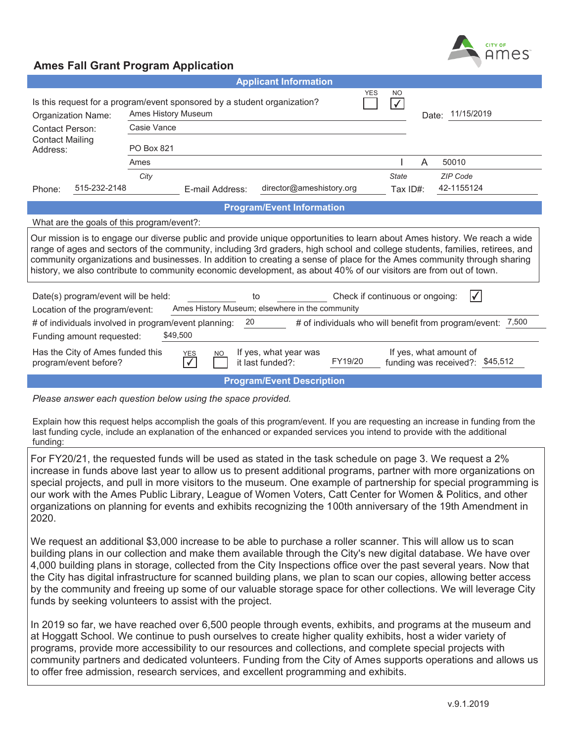

|                                                                                                                                                                                                                                                                                                                                                                                                                                                                                                           |                                                                                                                                                                        |                         | <b>Applicant Information</b>              |         |              |   |                                                             |
|-----------------------------------------------------------------------------------------------------------------------------------------------------------------------------------------------------------------------------------------------------------------------------------------------------------------------------------------------------------------------------------------------------------------------------------------------------------------------------------------------------------|------------------------------------------------------------------------------------------------------------------------------------------------------------------------|-------------------------|-------------------------------------------|---------|--------------|---|-------------------------------------------------------------|
| YES<br>NO<br>Is this request for a program/event sponsored by a student organization?<br>$\checkmark$<br>Ames History Museum<br>Date: 11/15/2019<br>Organization Name:                                                                                                                                                                                                                                                                                                                                    |                                                                                                                                                                        |                         |                                           |         |              |   |                                                             |
| <b>Contact Person:</b>                                                                                                                                                                                                                                                                                                                                                                                                                                                                                    | Casie Vance                                                                                                                                                            |                         |                                           |         |              |   |                                                             |
| <b>Contact Mailing</b><br>Address:                                                                                                                                                                                                                                                                                                                                                                                                                                                                        | <b>PO Box 821</b>                                                                                                                                                      |                         |                                           |         |              |   |                                                             |
|                                                                                                                                                                                                                                                                                                                                                                                                                                                                                                           | Ames                                                                                                                                                                   |                         |                                           |         |              | A | 50010                                                       |
|                                                                                                                                                                                                                                                                                                                                                                                                                                                                                                           | City                                                                                                                                                                   |                         |                                           |         | <b>State</b> |   | <b>ZIP Code</b>                                             |
| 515-232-2148<br>Phone:                                                                                                                                                                                                                                                                                                                                                                                                                                                                                    |                                                                                                                                                                        | E-mail Address:         | director@ameshistory.org                  |         | Tax ID#:     |   | 42-1155124                                                  |
|                                                                                                                                                                                                                                                                                                                                                                                                                                                                                                           |                                                                                                                                                                        |                         | <b>Program/Event Information</b>          |         |              |   |                                                             |
| What are the goals of this program/event?:                                                                                                                                                                                                                                                                                                                                                                                                                                                                |                                                                                                                                                                        |                         |                                           |         |              |   |                                                             |
| Our mission is to engage our diverse public and provide unique opportunities to learn about Ames history. We reach a wide<br>range of ages and sectors of the community, including 3rd graders, high school and college students, families, retirees, and<br>community organizations and businesses. In addition to creating a sense of place for the Ames community through sharing<br>history, we also contribute to community economic development, as about 40% of our visitors are from out of town. |                                                                                                                                                                        |                         |                                           |         |              |   |                                                             |
|                                                                                                                                                                                                                                                                                                                                                                                                                                                                                                           | V<br>Date(s) program/event will be held:<br>Check if continuous or ongoing:<br>to<br>Ames History Museum; elsewhere in the community<br>Location of the program/event: |                         |                                           |         |              |   |                                                             |
| # of individuals involved in program/event planning:                                                                                                                                                                                                                                                                                                                                                                                                                                                      |                                                                                                                                                                        | 20                      |                                           |         |              |   | # of individuals who will benefit from program/event: 7,500 |
| Funding amount requested:                                                                                                                                                                                                                                                                                                                                                                                                                                                                                 | \$49,500                                                                                                                                                               |                         |                                           |         |              |   |                                                             |
| Has the City of Ames funded this<br>program/event before?                                                                                                                                                                                                                                                                                                                                                                                                                                                 |                                                                                                                                                                        | <b>YES</b><br><b>NO</b> | If yes, what year was<br>it last funded?: | FY19/20 |              |   | If yes, what amount of<br>funding was received?: \$45,512   |
|                                                                                                                                                                                                                                                                                                                                                                                                                                                                                                           |                                                                                                                                                                        |                         | <b>Program/Event Description</b>          |         |              |   |                                                             |

*Please answer each question below using the space provided.* 

Explain how this request helps accomplish the goals of this program/event. If you are requesting an increase in funding from the last funding cycle, include an explanation of the enhanced or expanded services you intend to provide with the additional funding:

For FY20/21, the requested funds will be used as stated in the task schedule on page 3. We request a 2% increase in funds above last year to allow us to present additional programs, partner with more organizations on special projects, and pull in more visitors to the museum. One example of partnership for special programming is our work with the Ames Public Library, League of Women Voters, Catt Center for Women & Politics, and other organizations on planning for events and exhibits recognizing the 100th anniversary of the 19th Amendment in 2020.

We request an additional \$3,000 increase to be able to purchase a roller scanner. This will allow us to scan building plans in our collection and make them available through the City's new digital database. We have over 4,000 building plans in storage, collected from the City Inspections office over the past several years. Now that the City has digital infrastructure for scanned building plans, we plan to scan our copies, allowing better access by the community and freeing up some of our valuable storage space for other collections. We will leverage City funds by seeking volunteers to assist with the project.

In 2019 so far, we have reached over 6,500 people through events, exhibits, and programs at the museum and at Hoggatt School. We continue to push ourselves to create higher quality exhibits, host a wider variety of programs, provide more accessibility to our resources and collections, and complete special projects with community partners and dedicated volunteers. Funding from the City of Ames supports operations and allows us to offer free admission, research services, and excellent programming and exhibits.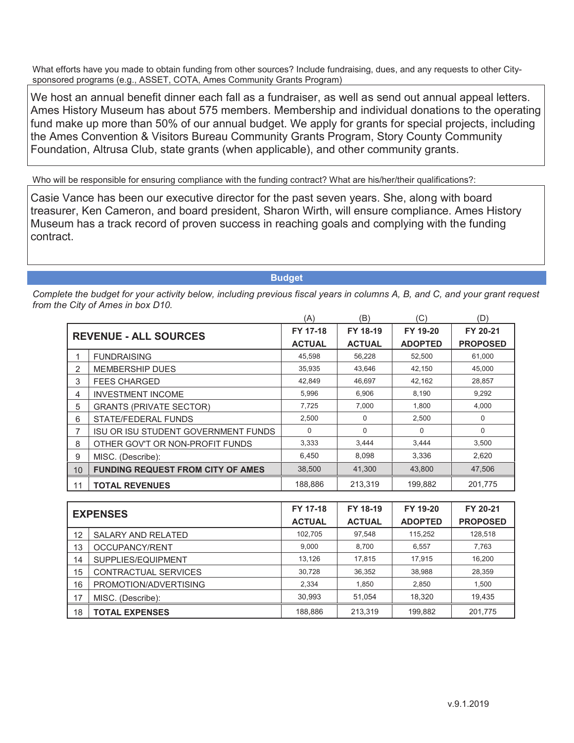We host an annual benefit dinner each fall as a fundraiser, as well as send out annual appeal letters. Ames History Museum has about 575 members. Membership and individual donations to the operating fund make up more than 50% of our annual budget. We apply for grants for special projects, including the Ames Convention & Visitors Bureau Community Grants Program, Story County Community Foundation, Altrusa Club, state grants (when applicable), and other community grants.

Who will be responsible for ensuring compliance with the funding contract? What are his/her/their qualifications?:

Casie Vance has been our executive director for the past seven years. She, along with board treasurer, Ken Cameron, and board president, Sharon Wirth, will ensure compliance. Ames History Museum has a track record of proven success in reaching goals and complying with the funding contract.

**Budget**

|                              |                                            | (A)           | (B)           | C)             | (D)             |
|------------------------------|--------------------------------------------|---------------|---------------|----------------|-----------------|
| <b>REVENUE - ALL SOURCES</b> |                                            | FY 17-18      | FY 18-19      | FY 19-20       | FY 20-21        |
|                              |                                            | <b>ACTUAL</b> | <b>ACTUAL</b> | <b>ADOPTED</b> | <b>PROPOSED</b> |
|                              | <b>FUNDRAISING</b>                         | 45,598        | 56,228        | 52,500         | 61,000          |
| 2                            | <b>MEMBERSHIP DUES</b>                     | 35,935        | 43,646        | 42,150         | 45,000          |
| 3                            | <b>FEES CHARGED</b>                        | 42,849        | 46,697        | 42,162         | 28,857          |
| 4                            | <b>INVESTMENT INCOME</b>                   | 5,996         | 6,906         | 8,190          | 9,292           |
| 5                            | <b>GRANTS (PRIVATE SECTOR)</b>             | 7,725         | 7,000         | 1,800          | 4,000           |
| 6                            | STATE/FEDERAL FUNDS                        | 2,500         | $\Omega$      | 2,500          | 0               |
| 7                            | <b>ISU OR ISU STUDENT GOVERNMENT FUNDS</b> | 0             | $\Omega$      | $\Omega$       | $\Omega$        |
| 8                            | OTHER GOV'T OR NON-PROFIT FUNDS            | 3,333         | 3,444         | 3,444          | 3,500           |
| 9                            | MISC. (Describe):                          | 6,450         | 8,098         | 3,336          | 2,620           |
| 10                           | <b>FUNDING REQUEST FROM CITY OF AMES</b>   | 38,500        | 41,300        | 43,800         | 47,506          |
| 11                           | <b>TOTAL REVENUES</b>                      | 188,886       | 213,319       | 199,882        | 201,775         |

| <b>EXPENSES</b> |                       | FY 17-18      | FY 18-19      | FY 19-20       | FY 20-21        |
|-----------------|-----------------------|---------------|---------------|----------------|-----------------|
|                 |                       | <b>ACTUAL</b> | <b>ACTUAL</b> | <b>ADOPTED</b> | <b>PROPOSED</b> |
| 12              | SALARY AND RELATED    | 102,705       | 97,548        | 115,252        | 128,518         |
| 13              | OCCUPANCY/RENT        | 9,000         | 8,700         | 6.557          | 7,763           |
| 14              | SUPPLIES/EQUIPMENT    | 13.126        | 17,815        | 17,915         | 16,200          |
| 15              | CONTRACTUAL SERVICES  | 30.728        | 36,352        | 38,988         | 28,359          |
| 16              | PROMOTION/ADVERTISING | 2.334         | 1.850         | 2,850          | 1,500           |
| 17              | MISC. (Describe):     | 30.993        | 51.054        | 18.320         | 19,435          |
| 18              | <b>TOTAL EXPENSES</b> | 188,886       | 213.319       | 199,882        | 201,775         |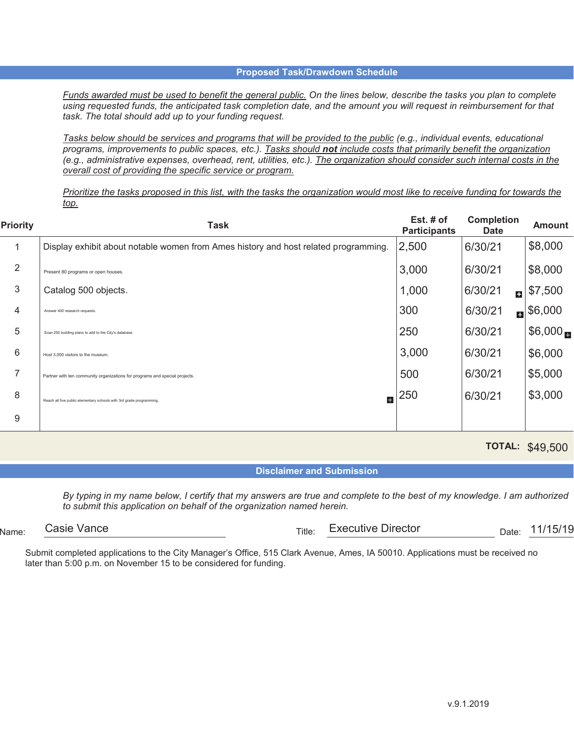*Funds awarded must be used to benefit the general public. On the lines below, describe the tasks you plan to complete using requested funds, the anticipated task completion date, and the amount you will request in reimbursement for that task. The total should add up to your funding request.*

*Tasks below should be services and programs that will be provided to the public (e.g., individual events, educational programs, improvements to public spaces, etc.). Tasks should not include costs that primarily benefit the organization (e.g., administrative expenses, overhead, rent, utilities, etc.). The organization should consider such internal costs in the overall cost of providing the specific service or program.*

*Prioritize the tasks proposed in this list, with the tasks the organization would most like to receive funding for towards the top.*

| <b>Priority</b> | Task                                                                                | Est. $#$ of<br><b>Participants</b> | <b>Completion</b><br><b>Date</b> | Amount                 |
|-----------------|-------------------------------------------------------------------------------------|------------------------------------|----------------------------------|------------------------|
|                 | Display exhibit about notable women from Ames history and host related programming. | 2,500                              | 6/30/21                          | \$8,000                |
| $\overline{2}$  | Present 80 programs or open houses.                                                 | 3,000                              | 6/30/21                          | \$8,000                |
| 3               | Catalog 500 objects.                                                                | 1,000                              | 6/30/21<br>ыI                    | \$7,500                |
| 4               | Answer 400 research requests.                                                       | 300                                | 6/30/21                          | $\blacksquare$ \$6,000 |
| 5               | Scan 250 building plans to add to the City's database.                              | 250                                | 6/30/21                          | \$6,000                |
| 6               | Host 3,000 visitors to the museum                                                   | 3,000                              | 6/30/21                          | \$6,000                |
| $\overline{7}$  | Partner with ten community organizations for programs and special projects.         | 500                                | 6/30/21                          | \$5,000                |
| 8               | H<br>Reach all five public elementary schools with 3rd grade programming.           | 250                                | 6/30/21                          | \$3,000                |
| 9               |                                                                                     |                                    |                                  |                        |

**TOTAL:**  \$49,500

**Disclaimer and Submission**

*By typing in my name below, I certify that my answers are true and complete to the best of my knowledge. I am authorized to submit this application on behalf of the organization named herein.*

 $N_{\text{Ame}:}$  Casie valice  $\overline{\phantom{a}}$  Date:  $\overline{\phantom{a}}$  Date:  $\overline{\phantom{a}}$  Date:  $\overline{\phantom{a}}$  Date:  $\overline{\phantom{a}}$ Casie Vance **Executive Director Executive Director Executive Director Executive Director EXECUTE:** 11/15/19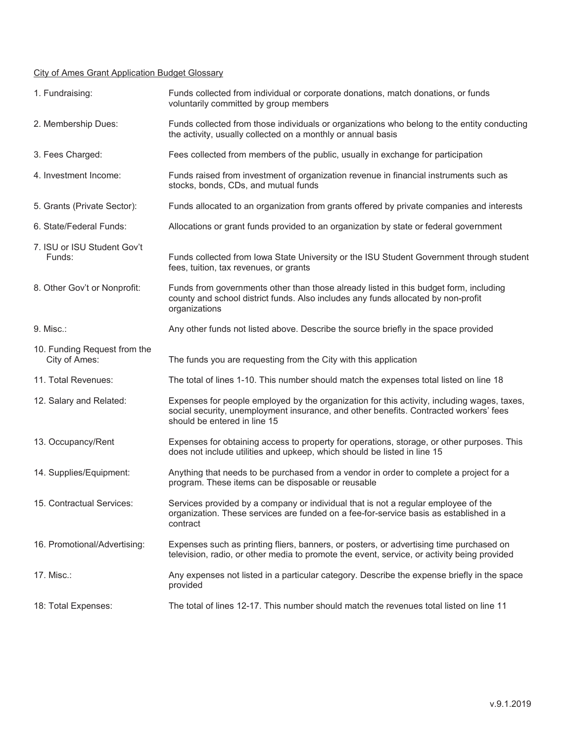#### City of Ames Grant Application Budget Glossary

| 1. Fundraising:                               | Funds collected from individual or corporate donations, match donations, or funds<br>voluntarily committed by group members                                                                                          |
|-----------------------------------------------|----------------------------------------------------------------------------------------------------------------------------------------------------------------------------------------------------------------------|
| 2. Membership Dues:                           | Funds collected from those individuals or organizations who belong to the entity conducting<br>the activity, usually collected on a monthly or annual basis                                                          |
| 3. Fees Charged:                              | Fees collected from members of the public, usually in exchange for participation                                                                                                                                     |
| 4. Investment Income:                         | Funds raised from investment of organization revenue in financial instruments such as<br>stocks, bonds, CDs, and mutual funds                                                                                        |
| 5. Grants (Private Sector):                   | Funds allocated to an organization from grants offered by private companies and interests                                                                                                                            |
| 6. State/Federal Funds:                       | Allocations or grant funds provided to an organization by state or federal government                                                                                                                                |
| 7. ISU or ISU Student Gov't<br>Funds:         | Funds collected from Iowa State University or the ISU Student Government through student<br>fees, tuition, tax revenues, or grants                                                                                   |
| 8. Other Gov't or Nonprofit:                  | Funds from governments other than those already listed in this budget form, including<br>county and school district funds. Also includes any funds allocated by non-profit<br>organizations                          |
| 9. Misc.:                                     | Any other funds not listed above. Describe the source briefly in the space provided                                                                                                                                  |
| 10. Funding Request from the<br>City of Ames: | The funds you are requesting from the City with this application                                                                                                                                                     |
| 11. Total Revenues:                           | The total of lines 1-10. This number should match the expenses total listed on line 18                                                                                                                               |
| 12. Salary and Related:                       | Expenses for people employed by the organization for this activity, including wages, taxes,<br>social security, unemployment insurance, and other benefits. Contracted workers' fees<br>should be entered in line 15 |
| 13. Occupancy/Rent                            | Expenses for obtaining access to property for operations, storage, or other purposes. This<br>does not include utilities and upkeep, which should be listed in line 15                                               |
| 14. Supplies/Equipment:                       | Anything that needs to be purchased from a vendor in order to complete a project for a<br>program. These items can be disposable or reusable                                                                         |
| 15. Contractual Services:                     | Services provided by a company or individual that is not a regular employee of the<br>organization. These services are funded on a fee-for-service basis as established in a<br>contract                             |
| 16. Promotional/Advertising:                  | Expenses such as printing fliers, banners, or posters, or advertising time purchased on<br>television, radio, or other media to promote the event, service, or activity being provided                               |
| 17. Misc.:                                    | Any expenses not listed in a particular category. Describe the expense briefly in the space<br>provided                                                                                                              |
| 18: Total Expenses:                           | The total of lines 12-17. This number should match the revenues total listed on line 11                                                                                                                              |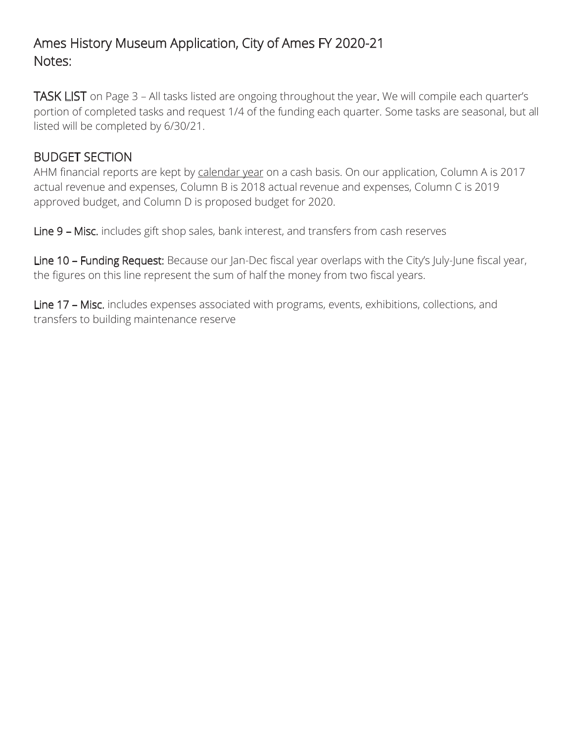# Ames History Museum Application, City of Ames FY 2020-21 Notes:

TASK LIST on Page 3 – All tasks listed are ongoing throughout the year. We will compile each quarter's portion of completed tasks and request 1/4 of the funding each quarter. Some tasks are seasonal, but all listed will be completed by 6/30/21.

## BUDGET SECTION

AHM financial reports are kept by calendar year on a cash basis. On our application, Column A is 2017 actual revenue and expenses, Column B is 2018 actual revenue and expenses, Column C is 2019 approved budget, and Column D is proposed budget for 2020.

Line 9 – Misc. includes gift shop sales, bank interest, and transfers from cash reserves

Line 10 - Funding Request: Because our Jan-Dec fiscal year overlaps with the City's July-June fiscal year, the figures on this line represent the sum of half the money from two fiscal years.

Line 17 – Misc. includes expenses associated with programs, events, exhibitions, collections, and transfers to building maintenance reserve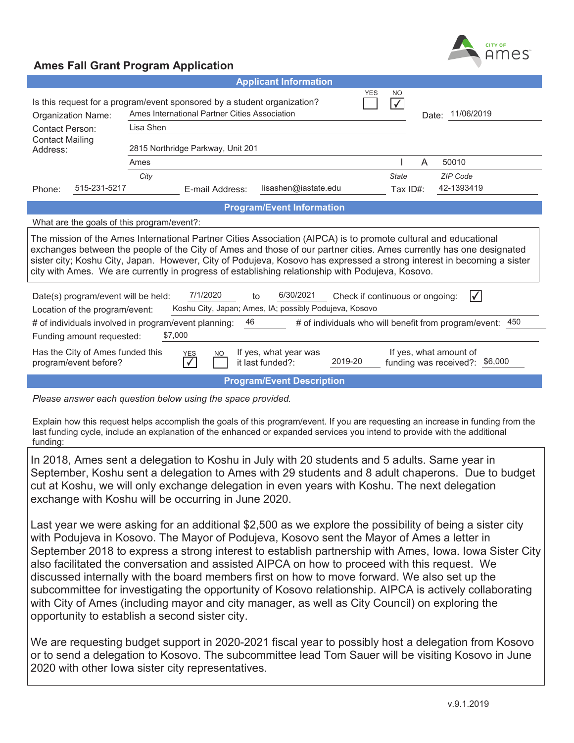

|                                                                                                                                                                                                                                                                                                                                                                                                                                                                      |                                                                                                                           | <b>Applicant Information</b>                         |                                                          |  |  |
|----------------------------------------------------------------------------------------------------------------------------------------------------------------------------------------------------------------------------------------------------------------------------------------------------------------------------------------------------------------------------------------------------------------------------------------------------------------------|---------------------------------------------------------------------------------------------------------------------------|------------------------------------------------------|----------------------------------------------------------|--|--|
| <b>Organization Name:</b>                                                                                                                                                                                                                                                                                                                                                                                                                                            | Is this request for a program/event sponsored by a student organization?<br>Ames International Partner Cities Association | N <sub>O</sub><br>$\checkmark$<br>Date: 11/06/2019   |                                                          |  |  |
| <b>Contact Person:</b>                                                                                                                                                                                                                                                                                                                                                                                                                                               | Lisa Shen                                                                                                                 |                                                      |                                                          |  |  |
| <b>Contact Mailing</b><br>Address:                                                                                                                                                                                                                                                                                                                                                                                                                                   | 2815 Northridge Parkway, Unit 201                                                                                         |                                                      |                                                          |  |  |
|                                                                                                                                                                                                                                                                                                                                                                                                                                                                      | Ames                                                                                                                      |                                                      | 50010<br>A                                               |  |  |
|                                                                                                                                                                                                                                                                                                                                                                                                                                                                      | City                                                                                                                      |                                                      | <b>State</b><br><b>ZIP Code</b>                          |  |  |
| 515-231-5217<br>Phone:                                                                                                                                                                                                                                                                                                                                                                                                                                               | E-mail Address:                                                                                                           | lisashen@iastate.edu                                 | 42-1393419<br>Tax ID#:                                   |  |  |
|                                                                                                                                                                                                                                                                                                                                                                                                                                                                      |                                                                                                                           | <b>Program/Event Information</b>                     |                                                          |  |  |
| What are the goals of this program/event?:                                                                                                                                                                                                                                                                                                                                                                                                                           |                                                                                                                           |                                                      |                                                          |  |  |
| The mission of the Ames International Partner Cities Association (AIPCA) is to promote cultural and educational<br>exchanges between the people of the City of Ames and those of our partner cities. Ames currently has one designated<br>sister city; Koshu City, Japan. However, City of Podujeva, Kosovo has expressed a strong interest in becoming a sister<br>city with Ames. We are currently in progress of establishing relationship with Podujeva, Kosovo. |                                                                                                                           |                                                      |                                                          |  |  |
| 7/1/2020<br>6/30/2021<br>IV.<br>Check if continuous or ongoing:<br>Date(s) program/event will be held:<br>to<br>Koshu City, Japan; Ames, IA; possibly Podujeva, Kosovo<br>Location of the program/event:<br>46<br>450<br># of individuals involved in program/event planning:<br># of individuals who will benefit from program/event:                                                                                                                               |                                                                                                                           |                                                      |                                                          |  |  |
| Funding amount requested:                                                                                                                                                                                                                                                                                                                                                                                                                                            | \$7,000                                                                                                                   |                                                      |                                                          |  |  |
| Has the City of Ames funded this<br>program/event before?                                                                                                                                                                                                                                                                                                                                                                                                            | <b>NO</b><br>YES                                                                                                          | If yes, what year was<br>2019-20<br>it last funded?: | If yes, what amount of<br>funding was received?: \$6,000 |  |  |
|                                                                                                                                                                                                                                                                                                                                                                                                                                                                      |                                                                                                                           | <b>Program/Event Description</b>                     |                                                          |  |  |

*Please answer each question below using the space provided.* 

Explain how this request helps accomplish the goals of this program/event. If you are requesting an increase in funding from the last funding cycle, include an explanation of the enhanced or expanded services you intend to provide with the additional funding:

In 2018, Ames sent a delegation to Koshu in July with 20 students and 5 adults. Same year in September, Koshu sent a delegation to Ames with 29 students and 8 adult chaperons. Due to budget cut at Koshu, we will only exchange delegation in even years with Koshu. The next delegation exchange with Koshu will be occurring in June 2020.

Last year we were asking for an additional \$2,500 as we explore the possibility of being a sister city with Podujeva in Kosovo. The Mayor of Podujeva, Kosovo sent the Mayor of Ames a letter in September 2018 to express a strong interest to establish partnership with Ames, Iowa. Iowa Sister City also facilitated the conversation and assisted AIPCA on how to proceed with this request. We discussed internally with the board members first on how to move forward. We also set up the subcommittee for investigating the opportunity of Kosovo relationship. AIPCA is actively collaborating with City of Ames (including mayor and city manager, as well as City Council) on exploring the opportunity to establish a second sister city.

We are requesting budget support in 2020-2021 fiscal year to possibly host a delegation from Kosovo or to send a delegation to Kosovo. The subcommittee lead Tom Sauer will be visiting Kosovo in June 2020 with other Iowa sister city representatives.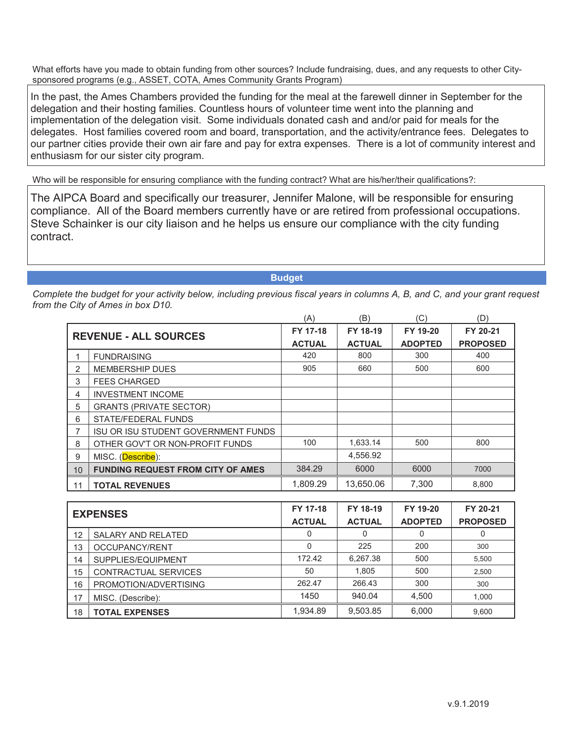delegation and their hosting families. Countless hours of volunteer time went into the planning and implementation of the delegation visit. Some individuals donated cash and and/or paid for meals for the delegates. Host families covered room and board, transportation, and the activity/entrance fees. Delegates to our partner cities provide their own air fare and pay for extra expenses. There is a lot of community interest and enthusiasm for our sister city program.

|           |                | In the past, the Ames Chambers provided the funding for the meal at the farewell dinner in September for the<br>delegation and their hosting families. Countless hours of volunteer time went into the planning and<br>implementation of the delegation visit. Some individuals donated cash and and/or paid for meals for the<br>delegates. Host families covered room and board, transportation, and the activity/entrance fees. Delegates t<br>our partner cities provide their own air fare and pay for extra expenses. There is a lot of community interest a<br>enthusiasm for our sister city program. |                           |                           |                            |                             |
|-----------|----------------|---------------------------------------------------------------------------------------------------------------------------------------------------------------------------------------------------------------------------------------------------------------------------------------------------------------------------------------------------------------------------------------------------------------------------------------------------------------------------------------------------------------------------------------------------------------------------------------------------------------|---------------------------|---------------------------|----------------------------|-----------------------------|
|           |                | Who will be responsible for ensuring compliance with the funding contract? What are his/her/their qualifications?:                                                                                                                                                                                                                                                                                                                                                                                                                                                                                            |                           |                           |                            |                             |
| contract. |                | The AIPCA Board and specifically our treasurer, Jennifer Malone, will be responsible for ensuring<br>compliance. All of the Board members currently have or are retired from professional occupations.<br>Steve Schainker is our city liaison and he helps us ensure our compliance with the city funding                                                                                                                                                                                                                                                                                                     |                           |                           |                            |                             |
|           |                |                                                                                                                                                                                                                                                                                                                                                                                                                                                                                                                                                                                                               | <b>Budget</b>             |                           |                            |                             |
|           |                | Complete the budget for your activity below, including previous fiscal years in columns A, B, and C, and your grant req<br>from the City of Ames in box D10.                                                                                                                                                                                                                                                                                                                                                                                                                                                  | (A)                       | (B)                       | (C)                        | (D)                         |
|           |                | <b>REVENUE - ALL SOURCES</b>                                                                                                                                                                                                                                                                                                                                                                                                                                                                                                                                                                                  | FY 17-18<br><b>ACTUAL</b> | FY 18-19<br><b>ACTUAL</b> | FY 19-20<br><b>ADOPTED</b> | FY 20-21<br><b>PROPOSED</b> |
|           | 1              | <b>FUNDRAISING</b>                                                                                                                                                                                                                                                                                                                                                                                                                                                                                                                                                                                            | 420                       | 800                       | 300                        | 400                         |
|           | 2              | <b>MEMBERSHIP DUES</b>                                                                                                                                                                                                                                                                                                                                                                                                                                                                                                                                                                                        | 905                       | 660                       | 500                        | 600                         |
|           | 3              | <b>FEES CHARGED</b>                                                                                                                                                                                                                                                                                                                                                                                                                                                                                                                                                                                           |                           |                           |                            |                             |
|           | $\overline{4}$ | <b>INVESTMENT INCOME</b>                                                                                                                                                                                                                                                                                                                                                                                                                                                                                                                                                                                      |                           |                           |                            |                             |
|           | 5              | <b>GRANTS (PRIVATE SECTOR)</b>                                                                                                                                                                                                                                                                                                                                                                                                                                                                                                                                                                                |                           |                           |                            |                             |
|           | 6              | STATE/FEDERAL FUNDS                                                                                                                                                                                                                                                                                                                                                                                                                                                                                                                                                                                           |                           |                           |                            |                             |
|           | $\overline{7}$ | ISU OR ISU STUDENT GOVERNMENT FUNDS                                                                                                                                                                                                                                                                                                                                                                                                                                                                                                                                                                           |                           |                           |                            |                             |
|           | 8              | OTHER GOV'T OR NON-PROFIT FUNDS                                                                                                                                                                                                                                                                                                                                                                                                                                                                                                                                                                               | 100                       | 1,633.14                  | 500                        | 800                         |
|           | 9              | MISC. (Describe):                                                                                                                                                                                                                                                                                                                                                                                                                                                                                                                                                                                             |                           | 4,556.92                  |                            |                             |
|           | 10             | <b>FUNDING REQUEST FROM CITY OF AMES</b>                                                                                                                                                                                                                                                                                                                                                                                                                                                                                                                                                                      | 384.29                    | 6000                      | 6000                       | 7000                        |
|           | 11             | <b>TOTAL REVENUES</b>                                                                                                                                                                                                                                                                                                                                                                                                                                                                                                                                                                                         | 1,809.29                  | 13,650.06                 | 7,300                      | 8,800                       |
|           |                |                                                                                                                                                                                                                                                                                                                                                                                                                                                                                                                                                                                                               |                           |                           |                            |                             |

| <b>EXPENSES</b> |                           | FY 17-18      | FY 18-19      | FY 19-20       | FY 20-21        |
|-----------------|---------------------------|---------------|---------------|----------------|-----------------|
|                 |                           | <b>ACTUAL</b> | <b>ACTUAL</b> | <b>ADOPTED</b> | <b>PROPOSED</b> |
| 12              | <b>SALARY AND RELATED</b> | 0             | 0             |                |                 |
| 13              | OCCUPANCY/RENT            | 0             | 225           | 200            | 300             |
| 14              | SUPPLIES/EQUIPMENT        | 172.42        | 6.267.38      | 500            | 5,500           |
| 15              | CONTRACTUAL SERVICES      | 50            | 1,805         | 500            | 2,500           |
| 16              | PROMOTION/ADVERTISING     | 262.47        | 266.43        | 300            | 300             |
| 17              | MISC. (Describe):         | 1450          | 940.04        | 4,500          | 1,000           |
| 18              | <b>TOTAL EXPENSES</b>     | 1,934.89      | 9,503.85      | 6,000          | 9,600           |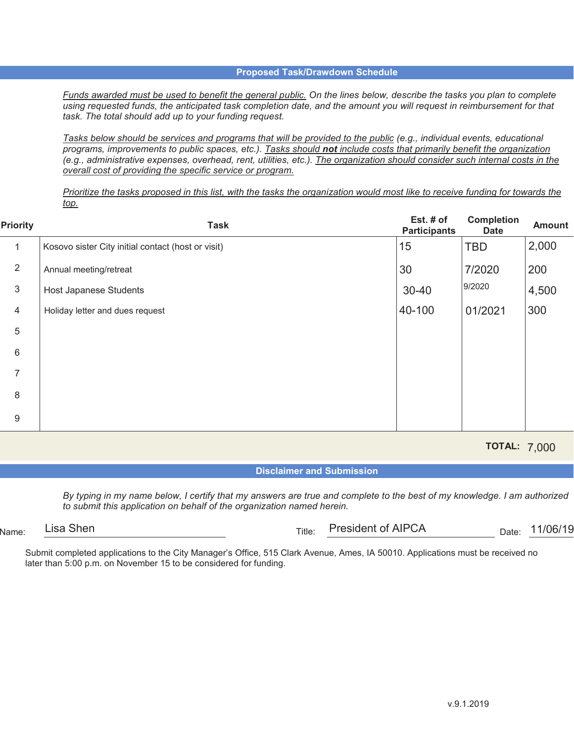*Funds awarded must be used to benefit the general public. On the lines below, describe the tasks you plan to complete using requested funds, the anticipated task completion date, and the amount you will request in reimbursement for that task. The total should add up to your funding request.*

*Tasks below should be services and programs that will be provided to the public (e.g., individual events, educational programs, improvements to public spaces, etc.). Tasks should not include costs that primarily benefit the organization (e.g., administrative expenses, overhead, rent, utilities, etc.). The organization should consider such internal costs in the overall cost of providing the specific service or program.*

*Prioritize the tasks proposed in this list, with the tasks the organization would most like to receive funding for towards the top.*

| <b>Priority</b> | <b>Task</b>                                        | Est. # of<br><b>Participants</b> | <b>Completion</b><br><b>Date</b> | <b>Amount</b> |
|-----------------|----------------------------------------------------|----------------------------------|----------------------------------|---------------|
| $\mathbf{1}$    | Kosovo sister City initial contact (host or visit) | 15                               | <b>TBD</b>                       | 2,000         |
| $\overline{2}$  | Annual meeting/retreat                             | 30                               | 7/2020                           | 200           |
| 3               | Host Japanese Students                             | $30 - 40$                        | 9/2020                           | 4,500         |
| $\overline{4}$  | Holiday letter and dues request                    | 40-100                           | 01/2021                          | 300           |
| 5               |                                                    |                                  |                                  |               |
| 6               |                                                    |                                  |                                  |               |
| 7               |                                                    |                                  |                                  |               |
| 8               |                                                    |                                  |                                  |               |
| $9\,$           |                                                    |                                  |                                  |               |

**TOTAL:**  7,000

**Disclaimer and Submission**

*By typing in my name below, I certify that my answers are true and complete to the best of my knowledge. I am authorized to submit this application on behalf of the organization named herein.*

Name: Title: Date:

Date: 11/06/19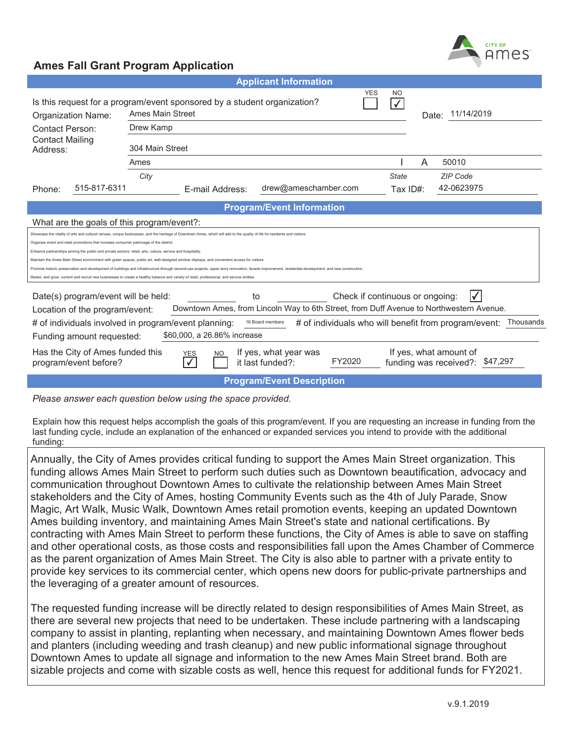

| <b>Applicant Information</b>                                                                                                                                                                                                                                                                                                                       |                                                                                                                                                                    |                                                                                                                           |                                  |                                 |              |                                                                                         |
|----------------------------------------------------------------------------------------------------------------------------------------------------------------------------------------------------------------------------------------------------------------------------------------------------------------------------------------------------|--------------------------------------------------------------------------------------------------------------------------------------------------------------------|---------------------------------------------------------------------------------------------------------------------------|----------------------------------|---------------------------------|--------------|-----------------------------------------------------------------------------------------|
| Organization Name:                                                                                                                                                                                                                                                                                                                                 |                                                                                                                                                                    | YES<br>NO<br>Is this request for a program/event sponsored by a student organization?<br>$\checkmark$<br>Ames Main Street |                                  |                                 |              | Date: 11/14/2019                                                                        |
| Contact Person:                                                                                                                                                                                                                                                                                                                                    | Drew Kamp                                                                                                                                                          |                                                                                                                           |                                  |                                 |              |                                                                                         |
| <b>Contact Mailing</b><br>Address:                                                                                                                                                                                                                                                                                                                 | 304 Main Street                                                                                                                                                    |                                                                                                                           |                                  |                                 |              |                                                                                         |
|                                                                                                                                                                                                                                                                                                                                                    | Ames                                                                                                                                                               |                                                                                                                           |                                  |                                 |              | A<br>50010                                                                              |
|                                                                                                                                                                                                                                                                                                                                                    | City                                                                                                                                                               |                                                                                                                           |                                  |                                 | <b>State</b> | <b>ZIP Code</b>                                                                         |
| 515-817-6311<br>Phone:                                                                                                                                                                                                                                                                                                                             |                                                                                                                                                                    | E-mail Address:                                                                                                           | drew@ameschamber.com             |                                 | Tax $ID#$ :  | 42-0623975                                                                              |
|                                                                                                                                                                                                                                                                                                                                                    |                                                                                                                                                                    |                                                                                                                           | <b>Program/Event Information</b> |                                 |              |                                                                                         |
| What are the goals of this program/event?:                                                                                                                                                                                                                                                                                                         |                                                                                                                                                                    |                                                                                                                           |                                  |                                 |              |                                                                                         |
| Showcase the vitality of arts and cultural venues, unique businesses, and the heritage of Downtown Ames, which will add to the quality of life for residents and visitors<br>Organize event and retail promotions that increase consumer patronage of the district                                                                                 |                                                                                                                                                                    |                                                                                                                           |                                  |                                 |              |                                                                                         |
| Enhance partnerships among the public and private sectors: retail, arts, culture, service and hospitality                                                                                                                                                                                                                                          |                                                                                                                                                                    |                                                                                                                           |                                  |                                 |              |                                                                                         |
| Maintain the Ames Main Street environment with green spaces, public art, well-designed window displays, and convenient access for visitors<br>Promote historic preservation and development of buildings and infrastructure through second-use projects, upper story renovation, facade improvement, residential development, and new construction |                                                                                                                                                                    |                                                                                                                           |                                  |                                 |              |                                                                                         |
| Retain, and grow, current and recruit new businesses to create a healthy balance and variety of retail, professional, and service entities.                                                                                                                                                                                                        |                                                                                                                                                                    |                                                                                                                           |                                  |                                 |              |                                                                                         |
| Date(s) program/event will be held:                                                                                                                                                                                                                                                                                                                |                                                                                                                                                                    | to                                                                                                                        |                                  | Check if continuous or ongoing: |              |                                                                                         |
| Location of the program/event:                                                                                                                                                                                                                                                                                                                     |                                                                                                                                                                    |                                                                                                                           |                                  |                                 |              | Downtown Ames, from Lincoln Way to 6th Street, from Duff Avenue to Northwestern Avenue. |
| # of individuals involved in program/event planning:                                                                                                                                                                                                                                                                                               |                                                                                                                                                                    |                                                                                                                           | 16 Board members                 |                                 |              | # of individuals who will benefit from program/event:<br>Thousands                      |
| \$60,000, a 26.86% increase<br>Funding amount requested:                                                                                                                                                                                                                                                                                           |                                                                                                                                                                    |                                                                                                                           |                                  |                                 |              |                                                                                         |
| program/event before?                                                                                                                                                                                                                                                                                                                              | Has the City of Ames funded this<br>If yes, what amount of<br>If yes, what year was<br>YES<br>NO.<br>FY2020<br>it last funded?:<br>funding was received?: \$47,297 |                                                                                                                           |                                  |                                 |              |                                                                                         |
|                                                                                                                                                                                                                                                                                                                                                    |                                                                                                                                                                    |                                                                                                                           | <b>Program/Event Description</b> |                                 |              |                                                                                         |

*Please answer each question below using the space provided.* 

Explain how this request helps accomplish the goals of this program/event. If you are requesting an increase in funding from the last funding cycle, include an explanation of the enhanced or expanded services you intend to provide with the additional funding:

Annually, the City of Ames provides critical funding to support the Ames Main Street organization. This funding allows Ames Main Street to perform such duties such as Downtown beautification, advocacy and communication throughout Downtown Ames to cultivate the relationship between Ames Main Street stakeholders and the City of Ames, hosting Community Events such as the 4th of July Parade, Snow Magic, Art Walk, Music Walk, Downtown Ames retail promotion events, keeping an updated Downtown Ames building inventory, and maintaining Ames Main Street's state and national certifications. By contracting with Ames Main Street to perform these functions, the City of Ames is able to save on staffing and other operational costs, as those costs and responsibilities fall upon the Ames Chamber of Commerce as the parent organization of Ames Main Street. The City is also able to partner with a private entity to provide key services to its commercial center, which opens new doors for public-private partnerships and the leveraging of a greater amount of resources.

The requested funding increase will be directly related to design responsibilities of Ames Main Street, as there are several new projects that need to be undertaken. These include partnering with a landscaping company to assist in planting, replanting when necessary, and maintaining Downtown Ames flower beds and planters (including weeding and trash cleanup) and new public informational signage throughout Downtown Ames to update all signage and information to the new Ames Main Street brand. Both are sizable projects and come with sizable costs as well, hence this request for additional funds for FY2021.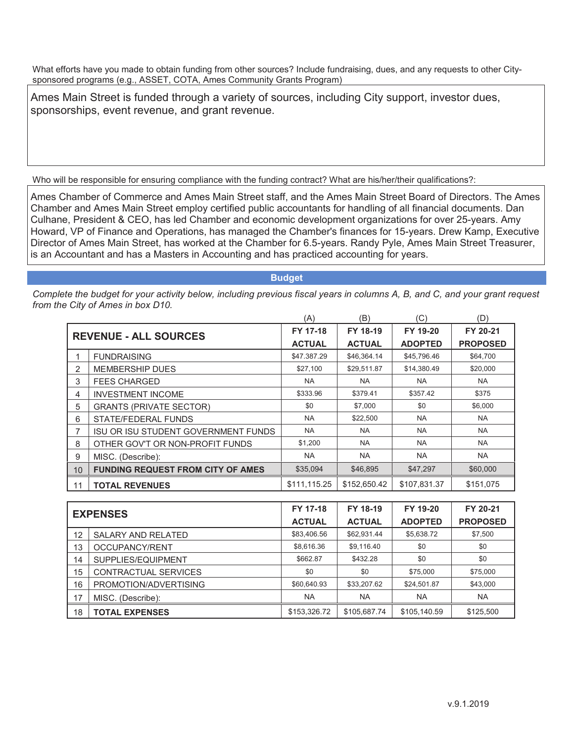Ames Main Street is funded through a variety of sources, including City support, investor dues, sponsorships, event revenue, and grant revenue.

Who will be responsible for ensuring compliance with the funding contract? What are his/her/their qualifications?:

Ames Chamber of Commerce and Ames Main Street staff, and the Ames Main Street Board of Directors. The Ames Chamber and Ames Main Street employ certified public accountants for handling of all financial documents. Dan Culhane, President & CEO, has led Chamber and economic development organizations for over 25-years. Amy Howard, VP of Finance and Operations, has managed the Chamber's finances for 15-years. Drew Kamp, Executive Director of Ames Main Street, has worked at the Chamber for 6.5-years. Randy Pyle, Ames Main Street Treasurer, is an Accountant and has a Masters in Accounting and has practiced accounting for years.

**Budget**

|    |                                            | (A)           | (B)           | (C)            | (D)             |
|----|--------------------------------------------|---------------|---------------|----------------|-----------------|
|    | <b>REVENUE - ALL SOURCES</b>               | FY 17-18      | FY 18-19      | FY 19-20       | FY 20-21        |
|    |                                            | <b>ACTUAL</b> | <b>ACTUAL</b> | <b>ADOPTED</b> | <b>PROPOSED</b> |
|    | <b>FUNDRAISING</b>                         | \$47.387.29   | \$46,364.14   | \$45,796.46    | \$64,700        |
| 2  | <b>MEMBERSHIP DUES</b>                     | \$27,100      | \$29,511.87   | \$14,380.49    | \$20,000        |
| 3  | <b>FEES CHARGED</b>                        | <b>NA</b>     | NA.           | <b>NA</b>      | <b>NA</b>       |
| 4  | <b>INVESTMENT INCOME</b>                   | \$333.96      | \$379.41      | \$357.42       | \$375           |
| 5  | <b>GRANTS (PRIVATE SECTOR)</b>             | \$0           | \$7,000       | \$0            | \$6,000         |
| 6  | STATE/FEDERAL FUNDS                        | <b>NA</b>     | \$22,500      | <b>NA</b>      | <b>NA</b>       |
| 7  | <b>ISU OR ISU STUDENT GOVERNMENT FUNDS</b> | <b>NA</b>     | <b>NA</b>     | <b>NA</b>      | <b>NA</b>       |
| 8  | OTHER GOV'T OR NON-PROFIT FUNDS            | \$1,200       | <b>NA</b>     | <b>NA</b>      | <b>NA</b>       |
| 9  | MISC. (Describe):                          | <b>NA</b>     | <b>NA</b>     | <b>NA</b>      | <b>NA</b>       |
| 10 | <b>FUNDING REQUEST FROM CITY OF AMES</b>   | \$35,094      | \$46,895      | \$47,297       | \$60,000        |
| 11 | <b>TOTAL REVENUES</b>                      | \$111,115.25  | \$152,650.42  | \$107,831.37   | \$151,075       |

| <b>EXPENSES</b> |                           | FY 17-18      | FY 18-19      | FY 19-20       | FY 20-21        |
|-----------------|---------------------------|---------------|---------------|----------------|-----------------|
|                 |                           | <b>ACTUAL</b> | <b>ACTUAL</b> | <b>ADOPTED</b> | <b>PROPOSED</b> |
| 12              | <b>SALARY AND RELATED</b> | \$83,406.56   | \$62,931.44   | \$5,638.72     | \$7,500         |
| 13              | OCCUPANCY/RENT            | \$8,616.36    | \$9,116.40    | \$0            | \$0             |
| 14              | SUPPLIES/EQUIPMENT        | \$662.87      | \$432.28      | \$0            | \$0             |
| 15              | CONTRACTUAL SERVICES      | \$0           | \$0           | \$75,000       | \$75,000        |
| 16              | PROMOTION/ADVERTISING     | \$60,640.93   | \$33,207.62   | \$24,501.87    | \$43,000        |
| 17              | MISC. (Describe):         | <b>NA</b>     | <b>NA</b>     | <b>NA</b>      | <b>NA</b>       |
| 18              | <b>TOTAL EXPENSES</b>     | \$153,326.72  | \$105,687.74  | \$105,140.59   | \$125,500       |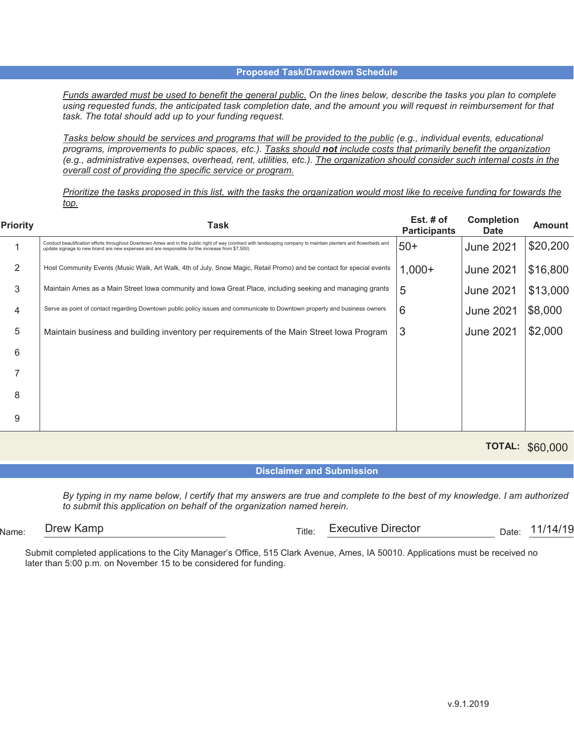*Funds awarded must be used to benefit the general public. On the lines below, describe the tasks you plan to complete using requested funds, the anticipated task completion date, and the amount you will request in reimbursement for that task. The total should add up to your funding request.*

*Tasks below should be services and programs that will be provided to the public (e.g., individual events, educational programs, improvements to public spaces, etc.). Tasks should not include costs that primarily benefit the organization (e.g., administrative expenses, overhead, rent, utilities, etc.). The organization should consider such internal costs in the overall cost of providing the specific service or program.*

*Prioritize the tasks proposed in this list, with the tasks the organization would most like to receive funding for towards the top.*

| <b>Priority</b> | Task                                                                                                                                                                                                                                                                 | Est. $#$ of<br><b>Participants</b> | <b>Completion</b><br><b>Date</b> | <b>Amount</b> |
|-----------------|----------------------------------------------------------------------------------------------------------------------------------------------------------------------------------------------------------------------------------------------------------------------|------------------------------------|----------------------------------|---------------|
|                 | Conduct beautification efforts throughout Downtown Ames and in the public right of way (contract with landscaping company to maintain planters and flowerbeds and<br>update signage to new brand are new expenses and are responsible for the increase from \$7,500) | $50+$                              | <b>June 2021</b>                 | \$20,200      |
| 2               | Host Community Events (Music Walk, Art Walk, 4th of July, Snow Magic, Retail Promo) and be contact for special events                                                                                                                                                | $1,000+$                           | <b>June 2021</b>                 | \$16,800      |
| 3               | Maintain Ames as a Main Street Iowa community and Iowa Great Place, including seeking and managing grants                                                                                                                                                            | 5                                  | <b>June 2021</b>                 | \$13,000      |
| 4               | Serve as point of contact regarding Downtown public policy issues and communicate to Downtown property and business owners                                                                                                                                           | 6                                  | <b>June 2021</b>                 | \$8,000       |
| 5               | Maintain business and building inventory per requirements of the Main Street lowa Program                                                                                                                                                                            | 3                                  | <b>June 2021</b>                 | \$2,000       |
| 6               |                                                                                                                                                                                                                                                                      |                                    |                                  |               |
|                 |                                                                                                                                                                                                                                                                      |                                    |                                  |               |
| 8               |                                                                                                                                                                                                                                                                      |                                    |                                  |               |
| 9               |                                                                                                                                                                                                                                                                      |                                    |                                  |               |

**TOTAL:**  \$60,000

**Disclaimer and Submission**

*By typing in my name below, I certify that my answers are true and complete to the best of my knowledge. I am authorized to submit this application on behalf of the organization named herein.*

 $N_{\text{ame}:}$  Diew Namp  $\overline{\phantom{a}}$  Date: Drew Kamp Executive Director 11/14/19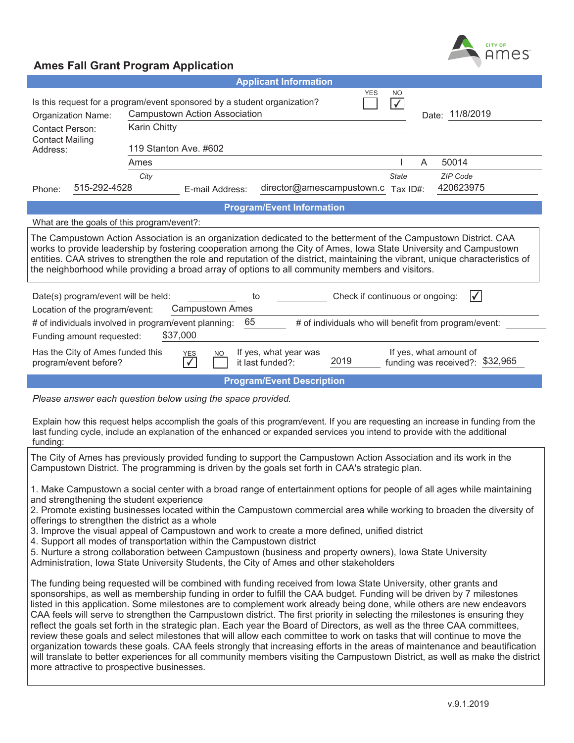

| <b>YES</b><br><b>NO</b><br>Is this request for a program/event sponsored by a student organization?<br>$\sqrt{}$<br><b>Campustown Action Association</b><br>Date: 11/8/2019<br>Organization Name:<br><b>Karin Chitty</b><br>Contact Person:<br><b>Contact Mailing</b>                                                                                                                                                                                                        |  |  |  |  |  |
|------------------------------------------------------------------------------------------------------------------------------------------------------------------------------------------------------------------------------------------------------------------------------------------------------------------------------------------------------------------------------------------------------------------------------------------------------------------------------|--|--|--|--|--|
| 119 Stanton Ave. #602<br>Address:                                                                                                                                                                                                                                                                                                                                                                                                                                            |  |  |  |  |  |
| 50014<br>Ames<br>A<br><b>ZIP Code</b><br>City<br><b>State</b><br>515-292-4528<br>director@amescampustown.c<br>420623975<br>Tax ID#:<br>E-mail Address:<br>Phone:                                                                                                                                                                                                                                                                                                             |  |  |  |  |  |
| <b>Program/Event Information</b>                                                                                                                                                                                                                                                                                                                                                                                                                                             |  |  |  |  |  |
| What are the goals of this program/event?:                                                                                                                                                                                                                                                                                                                                                                                                                                   |  |  |  |  |  |
| The Campustown Action Association is an organization dedicated to the betterment of the Campustown District. CAA<br>works to provide leadership by fostering cooperation among the City of Ames, Iowa State University and Campustown<br>entities. CAA strives to strengthen the role and reputation of the district, maintaining the vibrant, unique characteristics of<br>the neighborhood while providing a broad array of options to all community members and visitors. |  |  |  |  |  |
| Check if continuous or ongoing:<br>Ⅳ<br>Date(s) program/event will be held:<br>to<br><b>Campustown Ames</b><br>Location of the program/event:<br>65<br># of individuals involved in program/event planning:                                                                                                                                                                                                                                                                  |  |  |  |  |  |
| # of individuals who will benefit from program/event:<br>\$37,000<br>Funding amount requested:                                                                                                                                                                                                                                                                                                                                                                               |  |  |  |  |  |
| If yes, what amount of<br>Has the City of Ames funded this<br>If yes, what year was<br><b>NO</b><br><b>YES</b><br>2019<br>funding was received?: \$32,965<br>it last funded?:<br>program/event before?                                                                                                                                                                                                                                                                       |  |  |  |  |  |
| <b>Program/Event Description</b>                                                                                                                                                                                                                                                                                                                                                                                                                                             |  |  |  |  |  |

*Please answer each question below using the space provided.* 

Explain how this request helps accomplish the goals of this program/event. If you are requesting an increase in funding from the last funding cycle, include an explanation of the enhanced or expanded services you intend to provide with the additional funding:

The City of Ames has previously provided funding to support the Campustown Action Association and its work in the Campustown District. The programming is driven by the goals set forth in CAA's strategic plan.

1. Make Campustown a social center with a broad range of entertainment options for people of all ages while maintaining and strengthening the student experience

2. Promote existing businesses located within the Campustown commercial area while working to broaden the diversity of offerings to strengthen the district as a whole

3. Improve the visual appeal of Campustown and work to create a more defined, unified district

4. Support all modes of transportation within the Campustown district

5. Nurture a strong collaboration between Campustown (business and property owners), Iowa State University

Administration, Iowa State University Students, the City of Ames and other stakeholders

The funding being requested will be combined with funding received from Iowa State University, other grants and sponsorships, as well as membership funding in order to fulfill the CAA budget. Funding will be driven by 7 milestones listed in this application. Some milestones are to complement work already being done, while others are new endeavors CAA feels will serve to strengthen the Campustown district. The first priority in selecting the milestones is ensuring they reflect the goals set forth in the strategic plan. Each year the Board of Directors, as well as the three CAA committees, review these goals and select milestones that will allow each committee to work on tasks that will continue to move the organization towards these goals. CAA feels strongly that increasing efforts in the areas of maintenance and beautification will translate to better experiences for all community members visiting the Campustown District, as well as make the district more attractive to prospective businesses.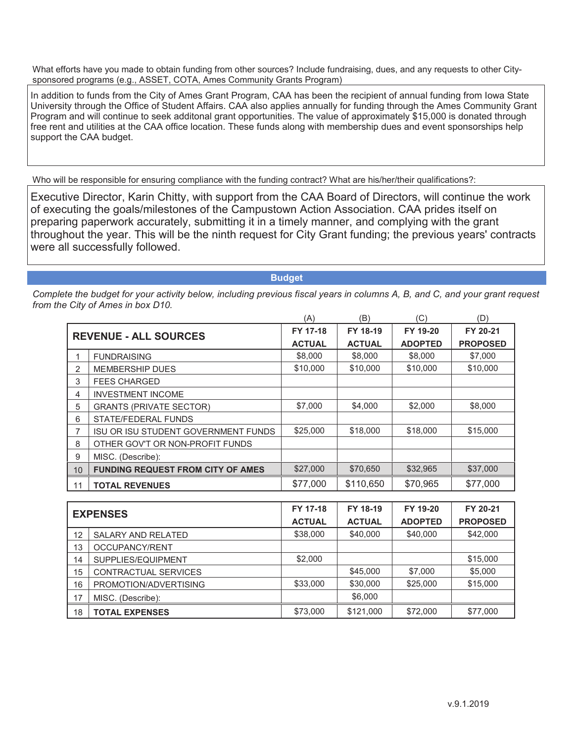In addition to funds from the City of Ames Grant Program, CAA has been the recipient of annual funding from Iowa State University through the Office of Student Affairs. CAA also applies annually for funding through the Ames Community Grant Program and will continue to seek additonal grant opportunities. The value of approximately \$15,000 is donated through free rent and utilities at the CAA office location. These funds along with membership dues and event sponsorships help support the CAA budget.

Who will be responsible for ensuring compliance with the funding contract? What are his/her/their qualifications?:

Executive Director, Karin Chitty, with support from the CAA Board of Directors, will continue the work of executing the goals/milestones of the Campustown Action Association. CAA prides itself on preparing paperwork accurately, submitting it in a timely manner, and complying with the grant throughout the year. This will be the ninth request for City Grant funding; the previous years' contracts were all successfully followed.

#### **Budget**

|                |                                            | (A)           | (B)           | (C)            | (D)             |
|----------------|--------------------------------------------|---------------|---------------|----------------|-----------------|
|                | <b>REVENUE - ALL SOURCES</b>               | FY 17-18      | FY 18-19      | FY 19-20       | FY 20-21        |
|                |                                            | <b>ACTUAL</b> | <b>ACTUAL</b> | <b>ADOPTED</b> | <b>PROPOSED</b> |
|                | <b>FUNDRAISING</b>                         | \$8,000       | \$8,000       | \$8,000        | \$7,000         |
| 2              | <b>MEMBERSHIP DUES</b>                     | \$10,000      | \$10,000      | \$10,000       | \$10,000        |
| 3              | <b>FEES CHARGED</b>                        |               |               |                |                 |
| $\overline{4}$ | <b>INVESTMENT INCOME</b>                   |               |               |                |                 |
| 5              | <b>GRANTS (PRIVATE SECTOR)</b>             | \$7,000       | \$4,000       | \$2,000        | \$8,000         |
| 6              | STATE/FEDERAL FUNDS                        |               |               |                |                 |
| 7              | <b>ISU OR ISU STUDENT GOVERNMENT FUNDS</b> | \$25,000      | \$18,000      | \$18,000       | \$15,000        |
| 8              | OTHER GOV'T OR NON-PROFIT FUNDS            |               |               |                |                 |
| 9              | MISC. (Describe):                          |               |               |                |                 |
| 10             | <b>FUNDING REQUEST FROM CITY OF AMES</b>   | \$27,000      | \$70,650      | \$32,965       | \$37,000        |
| 11             | <b>TOTAL REVENUES</b>                      | \$77,000      | \$110,650     | \$70,965       | \$77,000        |

| <b>EXPENSES</b> |                           | FY 17-18      | FY 18-19      | FY 19-20       | FY 20-21        |
|-----------------|---------------------------|---------------|---------------|----------------|-----------------|
|                 |                           | <b>ACTUAL</b> | <b>ACTUAL</b> | <b>ADOPTED</b> | <b>PROPOSED</b> |
| 12              | <b>SALARY AND RELATED</b> | \$38,000      | \$40,000      | \$40,000       | \$42,000        |
| 13              | OCCUPANCY/RENT            |               |               |                |                 |
| 14              | SUPPLIES/EQUIPMENT        | \$2,000       |               |                | \$15,000        |
| 15              | CONTRACTUAL SERVICES      |               | \$45,000      | \$7,000        | \$5,000         |
| 16              | PROMOTION/ADVERTISING     | \$33,000      | \$30,000      | \$25,000       | \$15,000        |
| 17              | MISC. (Describe):         |               | \$6,000       |                |                 |
| 18              | <b>TOTAL EXPENSES</b>     | \$73,000      | \$121,000     | \$72,000       | \$77,000        |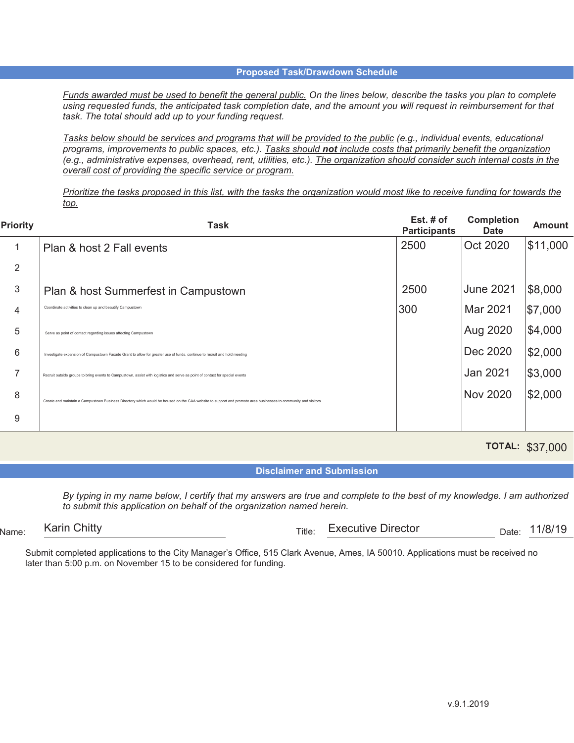*Funds awarded must be used to benefit the general public. On the lines below, describe the tasks you plan to complete using requested funds, the anticipated task completion date, and the amount you will request in reimbursement for that task. The total should add up to your funding request.* 

*Tasks below should be services and programs that will be provided to the public (e.g., individual events, educational programs, improvements to public spaces, etc.). Tasks should not include costs that primarily benefit the organization (e.g., administrative expenses, overhead, rent, utilities, etc.). The organization should consider such internal costs in the overall cost of providing the specific service or program.* 

*Prioritize the tasks proposed in this list, with the tasks the organization would most like to receive funding for towards the top.* 

| <b>Priority</b> | Task                                                                                                                                                          | Est. $#$ of<br><b>Participants</b> | <b>Completion</b><br><b>Date</b> | <b>Amount</b> |
|-----------------|---------------------------------------------------------------------------------------------------------------------------------------------------------------|------------------------------------|----------------------------------|---------------|
|                 | Plan & host 2 Fall events                                                                                                                                     | 2500                               | Oct 2020                         | \$11,000      |
| 2               |                                                                                                                                                               |                                    |                                  |               |
| 3               | Plan & host Summerfest in Campustown                                                                                                                          | 2500                               | <b>June 2021</b>                 | \$8,000       |
| 4               | Coordinate activities to clean up and beautify Campustown                                                                                                     | 300                                | Mar 2021                         | \$7,000       |
| 5               | Serve as point of contact regarding issues affecting Campustown                                                                                               |                                    | Aug 2020                         | \$4,000       |
| 6               | Investigate expansion of Campustown Facade Grant to allow for greater use of funds, continue to recruit and hold meeting                                      |                                    | Dec 2020                         | \$2,000       |
| ⇁               | Recruit outside groups to bring events to Campustown, assist with logistics and serve as point of contact for special events                                  |                                    | Jan 2021                         | \$3,000       |
| 8               | Create and maintain a Campustown Business Directory which would be housed on the CAA website to support and promote area businesses to community and visitors |                                    | <b>Nov 2020</b>                  | \$2,000       |
| 9               |                                                                                                                                                               |                                    |                                  |               |

**TOTAL:**  \$37,000

**Disclaimer and Submission** 

*By typing in my name below, I certify that my answers are true and complete to the best of my knowledge. I am authorized to submit this application on behalf of the organization named herein.*

 $N_{\text{ame}}$  . Name:  $N_{\text{H}}$  Date:  $N_{\text{H}}$  Date:  $N_{\text{H}}$  Date:  $N_{\text{H}}$  Date:  $N_{\text{H}}$ Karin Chitty **Executive Director Executive Director Executive Director Executive Director EXECUTE:** 11/8/19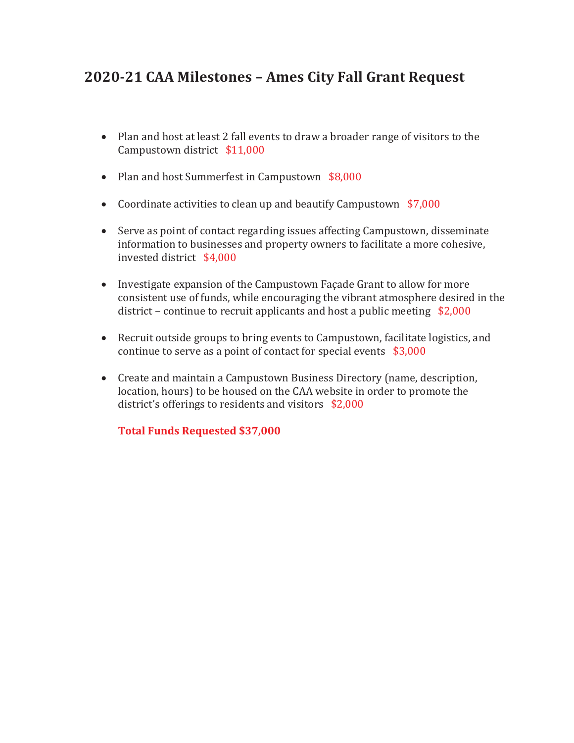# **2020-21 CAA Milestones – Ames City Fall Grant Request**

- · Plan and host at least 2 fall events to draw a broader range of visitors to the Campustown district \$11,000
- Plan and host Summerfest in Campustown \$8,000
- Coordinate activities to clean up and beautify Campustown \$7,000
- · Serve as point of contact regarding issues affecting Campustown, disseminate information to businesses and property owners to facilitate a more cohesive, invested district \$4,000
- · Investigate expansion of the Campustown Façade Grant to allow for more consistent use of funds, while encouraging the vibrant atmosphere desired in the district – continue to recruit applicants and host a public meeting \$2,000
- · Recruit outside groups to bring events to Campustown, facilitate logistics, and continue to serve as a point of contact for special events \$3,000
- · Create and maintain a Campustown Business Directory (name, description, location, hours) to be housed on the CAA website in order to promote the district's offerings to residents and visitors \$2,000

**Total Funds Requested \$37,000**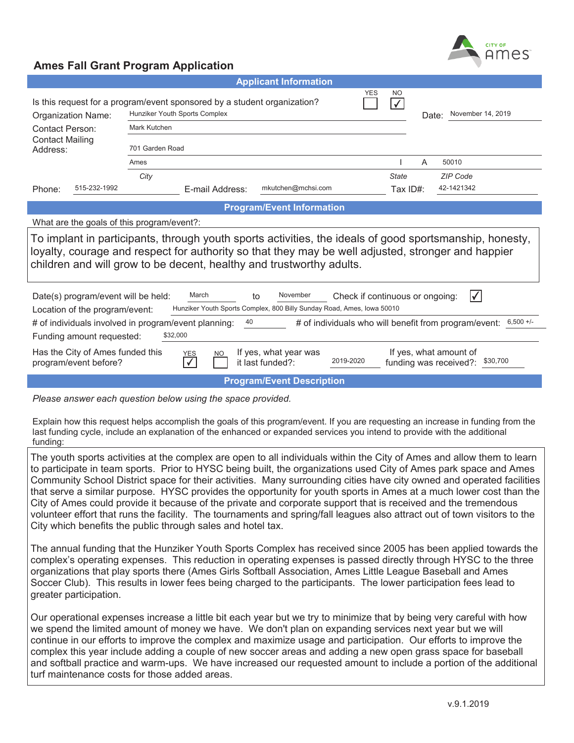

|                                                                                                                                                                                                                                                                                       | <b>Applicant Information</b>                                                                                                                                                   |                                 |  |  |  |  |
|---------------------------------------------------------------------------------------------------------------------------------------------------------------------------------------------------------------------------------------------------------------------------------------|--------------------------------------------------------------------------------------------------------------------------------------------------------------------------------|---------------------------------|--|--|--|--|
| Organization Name:                                                                                                                                                                                                                                                                    | <b>YES</b><br>N <sub>O</sub><br>Is this request for a program/event sponsored by a student organization?<br>$\sqrt{}$<br>Hunziker Youth Sports Complex<br>Mark Kutchen         |                                 |  |  |  |  |
| Contact Person:                                                                                                                                                                                                                                                                       |                                                                                                                                                                                |                                 |  |  |  |  |
| <b>Contact Mailing</b><br>Address:                                                                                                                                                                                                                                                    | 701 Garden Road                                                                                                                                                                |                                 |  |  |  |  |
|                                                                                                                                                                                                                                                                                       | Ames                                                                                                                                                                           | 50010<br>A                      |  |  |  |  |
|                                                                                                                                                                                                                                                                                       | City                                                                                                                                                                           | <b>State</b><br><b>ZIP Code</b> |  |  |  |  |
| 515-232-1992<br>Phone:                                                                                                                                                                                                                                                                | mkutchen@mchsi.com<br>E-mail Address:                                                                                                                                          | 42-1421342<br>Tax ID#:          |  |  |  |  |
|                                                                                                                                                                                                                                                                                       | <b>Program/Event Information</b>                                                                                                                                               |                                 |  |  |  |  |
| What are the goals of this program/event?:                                                                                                                                                                                                                                            |                                                                                                                                                                                |                                 |  |  |  |  |
| To implant in participants, through youth sports activities, the ideals of good sportsmanship, honesty,<br>loyalty, courage and respect for authority so that they may be well adjusted, stronger and happier<br>children and will grow to be decent, healthy and trustworthy adults. |                                                                                                                                                                                |                                 |  |  |  |  |
| March<br>November<br>Date(s) program/event will be held:<br>Check if continuous or ongoing:<br>to<br>Hunziker Youth Sports Complex, 800 Billy Sunday Road, Ames, Iowa 50010<br>Location of the program/event:                                                                         |                                                                                                                                                                                |                                 |  |  |  |  |
| # of individuals who will benefit from program/event: 6,500 +/-<br># of individuals involved in program/event planning:<br>40<br>\$32,000<br>Funding amount requested:                                                                                                                |                                                                                                                                                                                |                                 |  |  |  |  |
| program/event before?                                                                                                                                                                                                                                                                 | Has the City of Ames funded this<br>If yes, what year was<br>If yes, what amount of<br><b>YES</b><br>NO<br>2019-2020<br>\$30,700<br>it last funded?:<br>funding was received?: |                                 |  |  |  |  |
|                                                                                                                                                                                                                                                                                       | <b>Program/Event Description</b>                                                                                                                                               |                                 |  |  |  |  |
|                                                                                                                                                                                                                                                                                       |                                                                                                                                                                                |                                 |  |  |  |  |

*Please answer each question below using the space provided.* 

Explain how this request helps accomplish the goals of this program/event. If you are requesting an increase in funding from the last funding cycle, include an explanation of the enhanced or expanded services you intend to provide with the additional funding:

The youth sports activities at the complex are open to all individuals within the City of Ames and allow them to learn to participate in team sports. Prior to HYSC being built, the organizations used City of Ames park space and Ames Community School District space for their activities. Many surrounding cities have city owned and operated facilities that serve a similar purpose. HYSC provides the opportunity for youth sports in Ames at a much lower cost than the City of Ames could provide it because of the private and corporate support that is received and the tremendous volunteer effort that runs the facility. The tournaments and spring/fall leagues also attract out of town visitors to the City which benefits the public through sales and hotel tax.

The annual funding that the Hunziker Youth Sports Complex has received since 2005 has been applied towards the complex's operating expenses. This reduction in operating expenses is passed directly through HYSC to the three organizations that play sports there (Ames Girls Softball Association, Ames Little League Baseball and Ames Soccer Club). This results in lower fees being charged to the participants. The lower participation fees lead to greater participation.

Our operational expenses increase a little bit each year but we try to minimize that by being very careful with how we spend the limited amount of money we have. We don't plan on expanding services next year but we will continue in our efforts to improve the complex and maximize usage and participation. Our efforts to improve the complex this year include adding a couple of new soccer areas and adding a new open grass space for baseball and softball practice and warm-ups. We have increased our requested amount to include a portion of the additional turf maintenance costs for those added areas.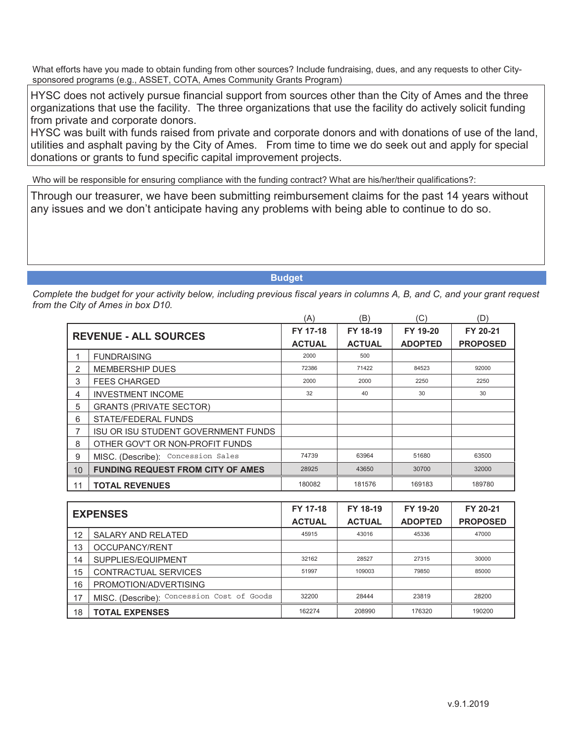HYSC does not actively pursue financial support from sources other than the City of Ames and the three organizations that use the facility. The three organizations that use the facility do actively solicit funding from private and corporate donors.

HYSC was built with funds raised from private and corporate donors and with donations of use of the land, utilities and asphalt paving by the City of Ames. From time to time we do seek out and apply for special donations or grants to fund specific capital improvement projects.

Who will be responsible for ensuring compliance with the funding contract? What are his/her/their qualifications?:

Through our treasurer, we have been submitting reimbursement claims for the past 14 years without any issues and we don't anticipate having any problems with being able to continue to do so.

**Budget**

|    |                                            | (A)           | (B)           | 'C)            | (D)             |
|----|--------------------------------------------|---------------|---------------|----------------|-----------------|
|    | <b>REVENUE - ALL SOURCES</b>               | FY 17-18      | FY 18-19      | FY 19-20       | FY 20-21        |
|    |                                            | <b>ACTUAL</b> | <b>ACTUAL</b> | <b>ADOPTED</b> | <b>PROPOSED</b> |
|    | <b>FUNDRAISING</b>                         | 2000          | 500           |                |                 |
| 2  | <b>MEMBERSHIP DUES</b>                     | 72386         | 71422         | 84523          | 92000           |
| 3  | <b>FEES CHARGED</b>                        | 2000          | 2000          | 2250           | 2250            |
| 4  | <b>INVESTMENT INCOME</b>                   | 32            | 40            | 30             | 30              |
| 5  | <b>GRANTS (PRIVATE SECTOR)</b>             |               |               |                |                 |
| 6  | STATE/FEDERAL FUNDS                        |               |               |                |                 |
| 7  | <b>ISU OR ISU STUDENT GOVERNMENT FUNDS</b> |               |               |                |                 |
| 8  | OTHER GOV'T OR NON-PROFIT FUNDS            |               |               |                |                 |
| 9  | MISC. (Describe): Concession Sales         | 74739         | 63964         | 51680          | 63500           |
| 10 | <b>FUNDING REQUEST FROM CITY OF AMES</b>   | 28925         | 43650         | 30700          | 32000           |
| 11 | <b>TOTAL REVENUES</b>                      | 180082        | 181576        | 169183         | 189780          |

| <b>EXPENSES</b> |                                            | FY 17-18      | FY 18-19      | FY 19-20       | FY 20-21        |
|-----------------|--------------------------------------------|---------------|---------------|----------------|-----------------|
|                 |                                            | <b>ACTUAL</b> | <b>ACTUAL</b> | <b>ADOPTED</b> | <b>PROPOSED</b> |
| 12              | <b>SALARY AND RELATED</b>                  | 45915         | 43016         | 45336          | 47000           |
| 13              | OCCUPANCY/RENT                             |               |               |                |                 |
| 14              | SUPPLIES/EQUIPMENT                         | 32162         | 28527         | 27315          | 30000           |
| 15              | CONTRACTUAL SERVICES                       | 51997         | 109003        | 79850          | 85000           |
| 16              | PROMOTION/ADVERTISING                      |               |               |                |                 |
| 17              | MISC. (Describe): Concession Cost of Goods | 32200         | 28444         | 23819          | 28200           |
| 18              | <b>TOTAL EXPENSES</b>                      | 162274        | 208990        | 176320         | 190200          |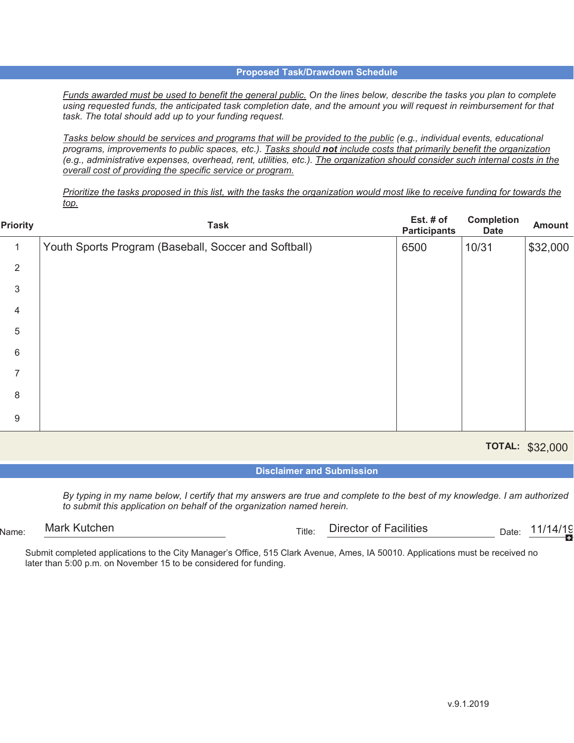*Funds awarded must be used to benefit the general public. On the lines below, describe the tasks you plan to complete using requested funds, the anticipated task completion date, and the amount you will request in reimbursement for that task. The total should add up to your funding request.*

*Tasks below should be services and programs that will be provided to the public (e.g., individual events, educational programs, improvements to public spaces, etc.). Tasks should not include costs that primarily benefit the organization (e.g., administrative expenses, overhead, rent, utilities, etc.). The organization should consider such internal costs in the overall cost of providing the specific service or program.*

*Prioritize the tasks proposed in this list, with the tasks the organization would most like to receive funding for towards the top.*

| Priority | <b>Task</b>                                          | Est. # of<br><b>Participants</b> | Completion<br><b>Date</b> | <b>Amount</b> |
|----------|------------------------------------------------------|----------------------------------|---------------------------|---------------|
| 1        | Youth Sports Program (Baseball, Soccer and Softball) | 6500                             | 10/31                     | \$32,000      |
| 2        |                                                      |                                  |                           |               |
| 3        |                                                      |                                  |                           |               |
| 4        |                                                      |                                  |                           |               |
| 5        |                                                      |                                  |                           |               |
| 6        |                                                      |                                  |                           |               |
| 7        |                                                      |                                  |                           |               |
| 8        |                                                      |                                  |                           |               |
| 9        |                                                      |                                  |                           |               |
|          |                                                      |                                  |                           |               |

**TOTAL:**  \$32,000

**Disclaimer and Submission**

*By typing in my name below, I certify that my answers are true and complete to the best of my knowledge. I am authorized to submit this application on behalf of the organization named herein.*

 $N_{\text{Ame}:}$  Midi Nutchen  $\Gamma_{\text{Hle}:}$  and  $\Gamma_{\text{Hle}:}$  Director of Facilities  $\Gamma_{\text{Bhe}:}$  Date: Mark Kutchen  $_{\rm Title:}$  Director of Facilities  $_{\rm Date:}$  11/14/1<u>9</u>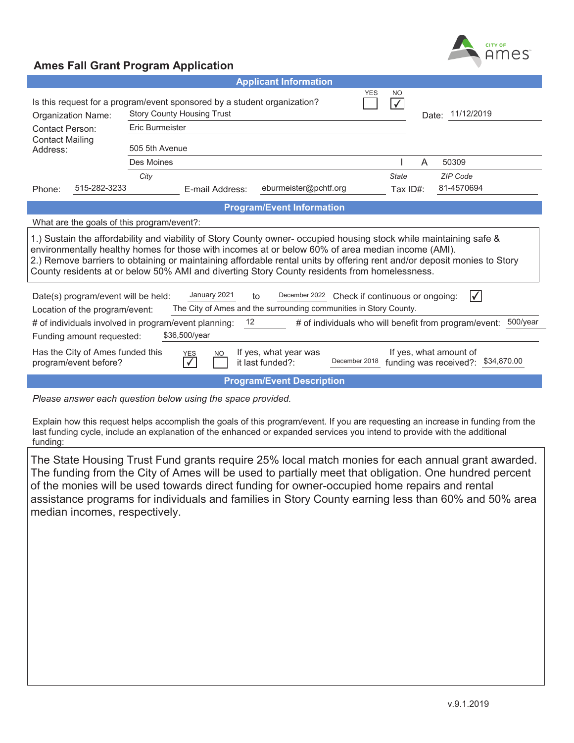

|                                                                                                                                                                                                                                                                                                                                                                                                                                                    |                 | <b>Applicant Information</b>     |              |                  |
|----------------------------------------------------------------------------------------------------------------------------------------------------------------------------------------------------------------------------------------------------------------------------------------------------------------------------------------------------------------------------------------------------------------------------------------------------|-----------------|----------------------------------|--------------|------------------|
| YES<br>NO.<br>Is this request for a program/event sponsored by a student organization?<br>$\sqrt{}$<br><b>Story County Housing Trust</b><br>Organization Name:                                                                                                                                                                                                                                                                                     |                 |                                  |              | Date: 11/12/2019 |
| <b>Contact Person:</b>                                                                                                                                                                                                                                                                                                                                                                                                                             | Eric Burmeister |                                  |              |                  |
| <b>Contact Mailing</b><br>Address:                                                                                                                                                                                                                                                                                                                                                                                                                 | 505 5th Avenue  |                                  |              |                  |
|                                                                                                                                                                                                                                                                                                                                                                                                                                                    | Des Moines      |                                  | A            | 50309            |
|                                                                                                                                                                                                                                                                                                                                                                                                                                                    | City            |                                  | <b>State</b> | ZIP Code         |
| 515-282-3233<br>Phone:                                                                                                                                                                                                                                                                                                                                                                                                                             | E-mail Address: | eburmeister@pchtf.org            | Tax ID#:     | 81-4570694       |
|                                                                                                                                                                                                                                                                                                                                                                                                                                                    |                 | <b>Program/Event Information</b> |              |                  |
| What are the goals of this program/event?:                                                                                                                                                                                                                                                                                                                                                                                                         |                 |                                  |              |                  |
| 1.) Sustain the affordability and viability of Story County owner- occupied housing stock while maintaining safe &<br>environmentally healthy homes for those with incomes at or below 60% of area median income (AMI).<br>2.) Remove barriers to obtaining or maintaining affordable rental units by offering rent and/or deposit monies to Story<br>County residents at or below 50% AMI and diverting Story County residents from homelessness. |                 |                                  |              |                  |
| January 2021<br>December 2022<br>Ⅳ<br>Check if continuous or ongoing:<br>Date(s) program/event will be held:<br>to<br>The City of Ames and the surrounding communities in Story County.<br>Location of the program/event:                                                                                                                                                                                                                          |                 |                                  |              |                  |
| 500/year<br># of individuals involved in program/event planning:<br># of individuals who will benefit from program/event:<br>12                                                                                                                                                                                                                                                                                                                    |                 |                                  |              |                  |
| Funding amount requested:                                                                                                                                                                                                                                                                                                                                                                                                                          | \$36,500/year   |                                  |              |                  |
| Has the City of Ames funded this<br>If yes, what year was<br>If yes, what amount of<br><b>NO</b><br>YES<br>December 2018<br>funding was received?: \$34,870.00<br>it last funded?:<br>program/event before?                                                                                                                                                                                                                                        |                 |                                  |              |                  |
|                                                                                                                                                                                                                                                                                                                                                                                                                                                    |                 | <b>Program/Event Description</b> |              |                  |

*Please answer each question below using the space provided.* 

Explain how this request helps accomplish the goals of this program/event. If you are requesting an increase in funding from the last funding cycle, include an explanation of the enhanced or expanded services you intend to provide with the additional funding:

The State Housing Trust Fund grants require 25% local match monies for each annual grant awarded. The funding from the City of Ames will be used to partially meet that obligation. One hundred percent of the monies will be used towards direct funding for owner-occupied home repairs and rental assistance programs for individuals and families in Story County earning less than 60% and 50% area median incomes, respectively.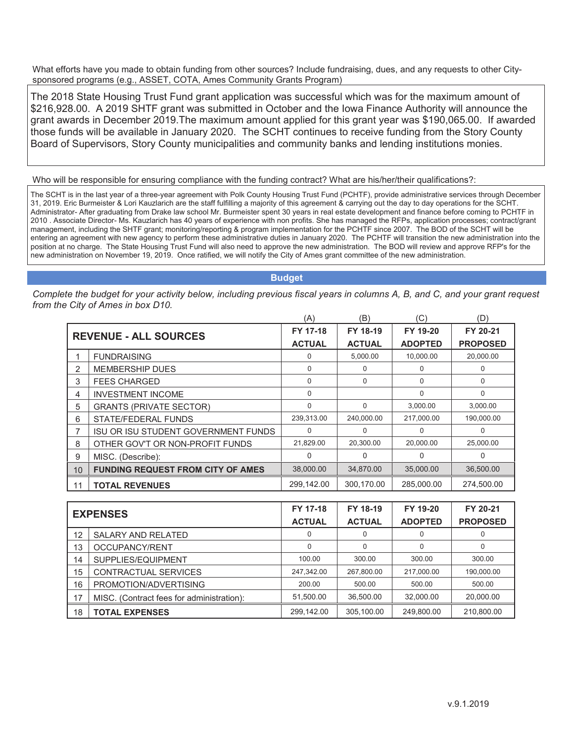The 2018 State Housing Trust Fund grant application was successful which was for the maximum amount of \$216,928.00. A 2019 SHTF grant was submitted in October and the Iowa Finance Authority will announce the grant awards in December 2019.The maximum amount applied for this grant year was \$190,065.00. If awarded those funds will be available in January 2020. The SCHT continues to receive funding from the Story County Board of Supervisors, Story County municipalities and community banks and lending institutions monies.

Who will be responsible for ensuring compliance with the funding contract? What are his/her/their qualifications?:

The SCHT is in the last year of a three-year agreement with Polk County Housing Trust Fund (PCHTF), provide administrative services through December 31, 2019. Eric Burmeister & Lori Kauzlarich are the staff fulfilling a majority of this agreement & carrying out the day to day operations for the SCHT. Administrator- After graduating from Drake law school Mr. Burmeister spent 30 years in real estate development and finance before coming to PCHTF in 2010 . Associate Director- Ms. Kauzlarich has 40 years of experience with non profits. She has managed the RFPs, application processes; contract/grant management, including the SHTF grant; monitoring/reporting & program implementation for the PCHTF since 2007. The BOD of the SCHT will be entering an agreement with new agency to perform these administrative duties in January 2020. The PCHTF will transition the new administration into the position at no charge. The State Housing Trust Fund will also need to approve the new administration. The BOD will review and approve RFP's for the new administration on November 19, 2019. Once ratified, we will notify the City of Ames grant committee of the new administration.

**Budget**

|    |                                            | (A)           | (B)           | C)             | (D)             |
|----|--------------------------------------------|---------------|---------------|----------------|-----------------|
|    | <b>REVENUE - ALL SOURCES</b>               | FY 17-18      | FY 18-19      | FY 19-20       | FY 20-21        |
|    |                                            | <b>ACTUAL</b> | <b>ACTUAL</b> | <b>ADOPTED</b> | <b>PROPOSED</b> |
|    | <b>FUNDRAISING</b>                         | 0             | 5,000.00      | 10,000.00      | 20,000.00       |
| 2  | <b>MEMBERSHIP DUES</b>                     | $\Omega$      | 0             | $\Omega$       | 0               |
| 3  | <b>FEES CHARGED</b>                        | $\mathbf 0$   | $\Omega$      | $\Omega$       | 0               |
| 4  | <b>INVESTMENT INCOME</b>                   | $\Omega$      |               | $\Omega$       | $\Omega$        |
| 5  | <b>GRANTS (PRIVATE SECTOR)</b>             | $\Omega$      | 0             | 3,000.00       | 3,000.00        |
| 6  | STATE/FEDERAL FUNDS                        | 239,313.00    | 240,000.00    | 217,000.00     | 190,000.00      |
| 7  | <b>ISU OR ISU STUDENT GOVERNMENT FUNDS</b> | $\Omega$      | $\Omega$      | $\Omega$       | $\Omega$        |
| 8  | OTHER GOV'T OR NON-PROFIT FUNDS            | 21,829.00     | 20,300.00     | 20,000.00      | 25,000.00       |
| 9  | MISC. (Describe):                          | $\Omega$      | 0             | 0              | 0               |
| 10 | <b>FUNDING REQUEST FROM CITY OF AMES</b>   | 38,000.00     | 34,870.00     | 35,000.00      | 36,500.00       |
| 11 | <b>TOTAL REVENUES</b>                      | 299,142.00    | 300,170.00    | 285,000.00     | 274,500.00      |

| <b>EXPENSES</b> |                                           | FY 17-18      | FY 18-19      | FY 19-20       | FY 20-21        |
|-----------------|-------------------------------------------|---------------|---------------|----------------|-----------------|
|                 |                                           | <b>ACTUAL</b> | <b>ACTUAL</b> | <b>ADOPTED</b> | <b>PROPOSED</b> |
| 12              | <b>SALARY AND RELATED</b>                 | 0             | 0             | $\Omega$       |                 |
| 13              | OCCUPANCY/RENT                            | 0             | $\Omega$      | $\Omega$       | 0               |
| 14              | SUPPLIES/EQUIPMENT                        | 100.00        | 300.00        | 300.00         | 300.00          |
| 15              | CONTRACTUAL SERVICES                      | 247,342.00    | 267,800.00    | 217,000.00     | 190,000.00      |
| 16              | PROMOTION/ADVERTISING                     | 200.00        | 500.00        | 500.00         | 500.00          |
| 17              | MISC. (Contract fees for administration): | 51,500.00     | 36.500.00     | 32,000.00      | 20,000.00       |
| 18              | <b>TOTAL EXPENSES</b>                     | 299.142.00    | 305.100.00    | 249.800.00     | 210,800.00      |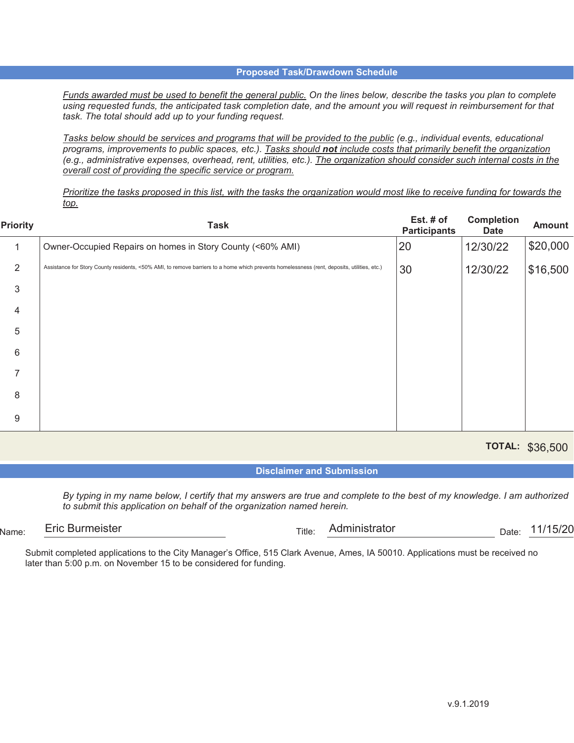*Funds awarded must be used to benefit the general public. On the lines below, describe the tasks you plan to complete using requested funds, the anticipated task completion date, and the amount you will request in reimbursement for that task. The total should add up to your funding request.*

*Tasks below should be services and programs that will be provided to the public (e.g., individual events, educational programs, improvements to public spaces, etc.). Tasks should not include costs that primarily benefit the organization (e.g., administrative expenses, overhead, rent, utilities, etc.). The organization should consider such internal costs in the overall cost of providing the specific service or program.*

*Prioritize the tasks proposed in this list, with the tasks the organization would most like to receive funding for towards the top.*

| <b>Priority</b> | <b>Task</b>                                                                                                                                 | Est. $#$ of<br><b>Participants</b> | <b>Completion</b><br><b>Date</b> | <b>Amount</b> |
|-----------------|---------------------------------------------------------------------------------------------------------------------------------------------|------------------------------------|----------------------------------|---------------|
|                 | Owner-Occupied Repairs on homes in Story County (<60% AMI)                                                                                  | 20                                 | 12/30/22                         | \$20,000      |
| 2               | Assistance for Story County residents, <50% AMI, to remove barriers to a home which prevents homelessness (rent, deposits, utilities, etc.) | 30                                 | 12/30/22                         | \$16,500      |
| 3               |                                                                                                                                             |                                    |                                  |               |
| 4               |                                                                                                                                             |                                    |                                  |               |
| 5               |                                                                                                                                             |                                    |                                  |               |
| 6               |                                                                                                                                             |                                    |                                  |               |
| 7               |                                                                                                                                             |                                    |                                  |               |
| 8               |                                                                                                                                             |                                    |                                  |               |
| 9               |                                                                                                                                             |                                    |                                  |               |

**TOTAL:**  \$36,500

**Disclaimer and Submission**

*By typing in my name below, I certify that my answers are true and complete to the best of my knowledge. I am authorized to submit this application on behalf of the organization named herein.*

 $Name$ :  $Title$ :  $Title$ :  $Namee$   $Title$ :  $Narmell, Tethee$ Eric Burmeister **Administrator** Title: Administrator **Administrator** Date: 11/15/20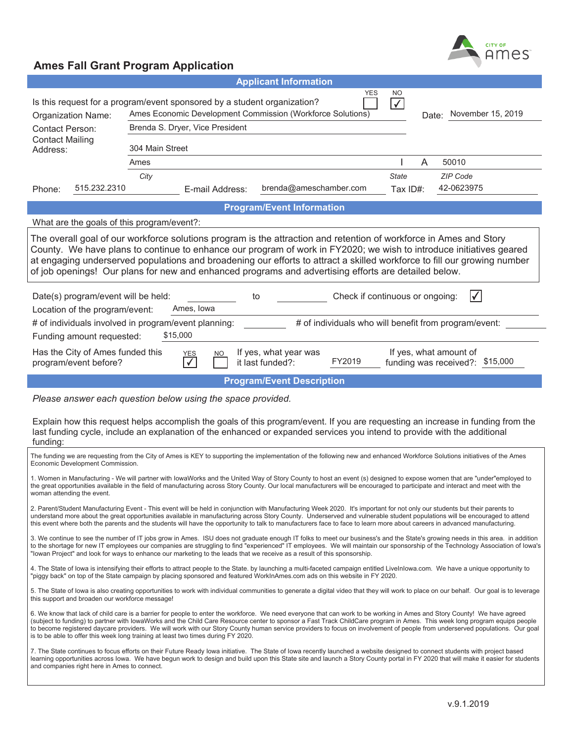

|                                                                                                                                                                                                                                                                                                                                                                                                                                                                                                                                      | <b>Applicant Information</b>                                                                                                                                                                                                                                                                                                                                                                                                                                                                                                                                                                                              |  |  |  |  |  |  |
|--------------------------------------------------------------------------------------------------------------------------------------------------------------------------------------------------------------------------------------------------------------------------------------------------------------------------------------------------------------------------------------------------------------------------------------------------------------------------------------------------------------------------------------|---------------------------------------------------------------------------------------------------------------------------------------------------------------------------------------------------------------------------------------------------------------------------------------------------------------------------------------------------------------------------------------------------------------------------------------------------------------------------------------------------------------------------------------------------------------------------------------------------------------------------|--|--|--|--|--|--|
| YES<br>NO<br>Is this request for a program/event sponsored by a student organization?<br>$\sqrt{}$<br>Ames Economic Development Commission (Workforce Solutions)<br>Date: November 15, 2019<br>Organization Name:<br>Brenda S. Dryer, Vice President<br><b>Contact Person:</b>                                                                                                                                                                                                                                                       |                                                                                                                                                                                                                                                                                                                                                                                                                                                                                                                                                                                                                           |  |  |  |  |  |  |
| <b>Contact Mailing</b><br>Address:                                                                                                                                                                                                                                                                                                                                                                                                                                                                                                   | 304 Main Street                                                                                                                                                                                                                                                                                                                                                                                                                                                                                                                                                                                                           |  |  |  |  |  |  |
|                                                                                                                                                                                                                                                                                                                                                                                                                                                                                                                                      | A<br>50010<br>Ames                                                                                                                                                                                                                                                                                                                                                                                                                                                                                                                                                                                                        |  |  |  |  |  |  |
| 515.232.2310<br>Phone:                                                                                                                                                                                                                                                                                                                                                                                                                                                                                                               | <b>ZIP Code</b><br>City<br><b>State</b><br>42-0623975<br>brenda@ameschamber.com<br>E-mail Address:<br>Tax ID#:                                                                                                                                                                                                                                                                                                                                                                                                                                                                                                            |  |  |  |  |  |  |
|                                                                                                                                                                                                                                                                                                                                                                                                                                                                                                                                      | <b>Program/Event Information</b>                                                                                                                                                                                                                                                                                                                                                                                                                                                                                                                                                                                          |  |  |  |  |  |  |
| What are the goals of this program/event?:                                                                                                                                                                                                                                                                                                                                                                                                                                                                                           |                                                                                                                                                                                                                                                                                                                                                                                                                                                                                                                                                                                                                           |  |  |  |  |  |  |
|                                                                                                                                                                                                                                                                                                                                                                                                                                                                                                                                      | The overall goal of our workforce solutions program is the attraction and retention of workforce in Ames and Story<br>County. We have plans to continue to enhance our program of work in FY2020; we wish to introduce initiatives geared<br>at engaging underserved populations and broadening our efforts to attract a skilled workforce to fill our growing number<br>of job openings! Our plans for new and enhanced programs and advertising efforts are detailed below.                                                                                                                                             |  |  |  |  |  |  |
| Date(s) program/event will be held:<br>Location of the program/event:                                                                                                                                                                                                                                                                                                                                                                                                                                                                | ∨<br>Check if continuous or ongoing:<br>to<br>Ames, Iowa                                                                                                                                                                                                                                                                                                                                                                                                                                                                                                                                                                  |  |  |  |  |  |  |
|                                                                                                                                                                                                                                                                                                                                                                                                                                                                                                                                      | # of individuals involved in program/event planning:<br># of individuals who will benefit from program/event:                                                                                                                                                                                                                                                                                                                                                                                                                                                                                                             |  |  |  |  |  |  |
| Funding amount requested:                                                                                                                                                                                                                                                                                                                                                                                                                                                                                                            | \$15,000                                                                                                                                                                                                                                                                                                                                                                                                                                                                                                                                                                                                                  |  |  |  |  |  |  |
| Has the City of Ames funded this<br>program/event before?                                                                                                                                                                                                                                                                                                                                                                                                                                                                            | If yes, what amount of<br>If yes, what year was<br>NO.<br><u>YES</u><br>FY2019<br>funding was received?: \$15,000<br>it last funded?:                                                                                                                                                                                                                                                                                                                                                                                                                                                                                     |  |  |  |  |  |  |
|                                                                                                                                                                                                                                                                                                                                                                                                                                                                                                                                      | <b>Program/Event Description</b>                                                                                                                                                                                                                                                                                                                                                                                                                                                                                                                                                                                          |  |  |  |  |  |  |
|                                                                                                                                                                                                                                                                                                                                                                                                                                                                                                                                      | Please answer each question below using the space provided.<br>Explain how this request helps accomplish the goals of this program/event. If you are requesting an increase in funding from the                                                                                                                                                                                                                                                                                                                                                                                                                           |  |  |  |  |  |  |
| funding:                                                                                                                                                                                                                                                                                                                                                                                                                                                                                                                             | last funding cycle, include an explanation of the enhanced or expanded services you intend to provide with the additional                                                                                                                                                                                                                                                                                                                                                                                                                                                                                                 |  |  |  |  |  |  |
| Economic Development Commission.                                                                                                                                                                                                                                                                                                                                                                                                                                                                                                     | The funding we are requesting from the City of Ames is KEY to supporting the implementation of the following new and enhanced Workforce Solutions initiatives of the Ames                                                                                                                                                                                                                                                                                                                                                                                                                                                 |  |  |  |  |  |  |
| woman attending the event.                                                                                                                                                                                                                                                                                                                                                                                                                                                                                                           | 1. Women in Manufacturing - We will partner with lowaWorks and the United Way of Story County to host an event (s) designed to expose women that are "under"employed to<br>the great opportunities available in the field of manufacturing across Story County. Our local manufacturers will be encouraged to participate and interact and meet with the                                                                                                                                                                                                                                                                  |  |  |  |  |  |  |
| 2. Parent/Student Manufacturing Event - This event will be held in conjunction with Manufacturing Week 2020. It's important for not only our students but their parents to<br>understand more about the great opportunities available in manufacturing across Story County. Underserved and vulnerable student populations will be encouraged to attend<br>this event where both the parents and the students will have the opportunity to talk to manufacturers face to face to learn more about careers in advanced manufacturing. |                                                                                                                                                                                                                                                                                                                                                                                                                                                                                                                                                                                                                           |  |  |  |  |  |  |
|                                                                                                                                                                                                                                                                                                                                                                                                                                                                                                                                      | 3. We continue to see the number of IT jobs grow in Ames. ISU does not graduate enough IT folks to meet our business's and the State's growing needs in this area. in addition<br>to the shortage for new IT employees our companies are struggling to find "experienced" IT employees. We will maintain our sponsorship of the Technology Association of lowa's<br>"lowan Project" and look for ways to enhance our marketing to the leads that we receive as a result of this sponsorship.                                                                                                                              |  |  |  |  |  |  |
|                                                                                                                                                                                                                                                                                                                                                                                                                                                                                                                                      | 4. The State of lowa is intensifying their efforts to attract people to the State. by launching a multi-faceted campaign entitled Livelnlowa.com. We have a unique opportunity to<br>"piggy back" on top of the State campaign by placing sponsored and featured WorkInAmes.com ads on this website in FY 2020.                                                                                                                                                                                                                                                                                                           |  |  |  |  |  |  |
| this support and broaden our workforce message!                                                                                                                                                                                                                                                                                                                                                                                                                                                                                      | 5. The State of lowa is also creating opportunities to work with individual communities to generate a digital video that they will work to place on our behalf. Our goal is to leverage                                                                                                                                                                                                                                                                                                                                                                                                                                   |  |  |  |  |  |  |
|                                                                                                                                                                                                                                                                                                                                                                                                                                                                                                                                      | 6. We know that lack of child care is a barrier for people to enter the workforce. We need everyone that can work to be working in Ames and Story County! We have agreed<br>(subject to funding) to partner with lowaWorks and the Child Care Resource center to sponsor a Fast Track ChildCare program in Ames. This week long program equips people<br>to become registered daycare providers. We will work with our Story County human service providers to focus on involvement of people from underserved populations. Our goal<br>is to be able to offer this week long training at least two times during FY 2020. |  |  |  |  |  |  |
| and companies right here in Ames to connect.                                                                                                                                                                                                                                                                                                                                                                                                                                                                                         | 7. The State continues to focus efforts on their Future Ready lowa initiative. The State of lowa recently launched a website designed to connect students with project based<br>learning opportunities across lowa. We have begun work to design and build upon this State site and launch a Story County portal in FY 2020 that will make it easier for students                                                                                                                                                                                                                                                         |  |  |  |  |  |  |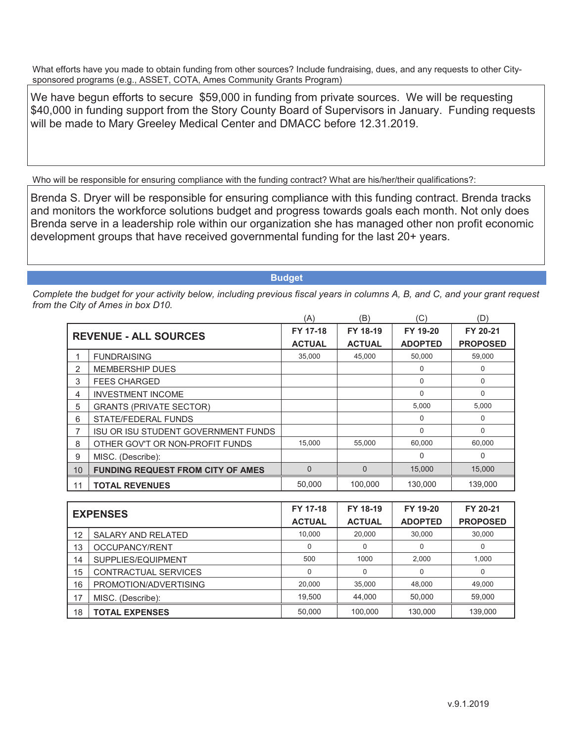We have begun efforts to secure \$59,000 in funding from private sources. We will be requesting \$40,000 in funding support from the Story County Board of Supervisors in January. Funding requests will be made to Mary Greeley Medical Center and DMACC before 12.31.2019.

Who will be responsible for ensuring compliance with the funding contract? What are his/her/their qualifications?:

Brenda S. Dryer will be responsible for ensuring compliance with this funding contract. Brenda tracks and monitors the workforce solutions budget and progress towards goals each month. Not only does Brenda serve in a leadership role within our organization she has managed other non profit economic development groups that have received governmental funding for the last 20+ years.

**Budget**

|    |                                            | (A)            | (B)           | 'C'            | (D)             |
|----|--------------------------------------------|----------------|---------------|----------------|-----------------|
|    | <b>REVENUE - ALL SOURCES</b>               | FY 17-18       | FY 18-19      | FY 19-20       | FY 20-21        |
|    |                                            | <b>ACTUAL</b>  | <b>ACTUAL</b> | <b>ADOPTED</b> | <b>PROPOSED</b> |
|    | <b>FUNDRAISING</b>                         | 35,000         | 45,000        | 50,000         | 59,000          |
| 2  | <b>MEMBERSHIP DUES</b>                     |                |               | $\Omega$       | 0               |
| 3  | <b>FEES CHARGED</b>                        |                |               | $\Omega$       | $\Omega$        |
| 4  | <b>INVESTMENT INCOME</b>                   |                |               | $\Omega$       | 0               |
| 5  | <b>GRANTS (PRIVATE SECTOR)</b>             |                |               | 5,000          | 5,000           |
| 6  | STATE/FEDERAL FUNDS                        |                |               | $\Omega$       | $\Omega$        |
|    | <b>ISU OR ISU STUDENT GOVERNMENT FUNDS</b> |                |               | $\Omega$       | $\Omega$        |
| 8  | OTHER GOV'T OR NON-PROFIT FUNDS            | 15,000         | 55,000        | 60,000         | 60,000          |
| 9  | MISC. (Describe):                          |                |               | $\Omega$       | 0               |
| 10 | <b>FUNDING REQUEST FROM CITY OF AMES</b>   | $\overline{0}$ | $\Omega$      | 15,000         | 15,000          |
| 11 | <b>TOTAL REVENUES</b>                      | 50.000         | 100,000       | 130.000        | 139,000         |

| <b>EXPENSES</b> |                           | FY 17-18      | FY 18-19      | FY 19-20       | FY 20-21        |
|-----------------|---------------------------|---------------|---------------|----------------|-----------------|
|                 |                           | <b>ACTUAL</b> | <b>ACTUAL</b> | <b>ADOPTED</b> | <b>PROPOSED</b> |
| 12              | <b>SALARY AND RELATED</b> | 10.000        | 20,000        | 30.000         | 30,000          |
| 13              | OCCUPANCY/RENT            | 0             | 0             |                | 0               |
| 14              | SUPPLIES/EQUIPMENT        | 500           | 1000          | 2.000          | 1,000           |
| 15              | CONTRACTUAL SERVICES      | 0             | $\Omega$      | 0              | $\Omega$        |
| 16              | PROMOTION/ADVERTISING     | 20,000        | 35,000        | 48,000         | 49,000          |
| 17              | MISC. (Describe):         | 19.500        | 44,000        | 50.000         | 59,000          |
| 18              | <b>TOTAL EXPENSES</b>     | 50.000        | 100.000       | 130,000        | 139.000         |